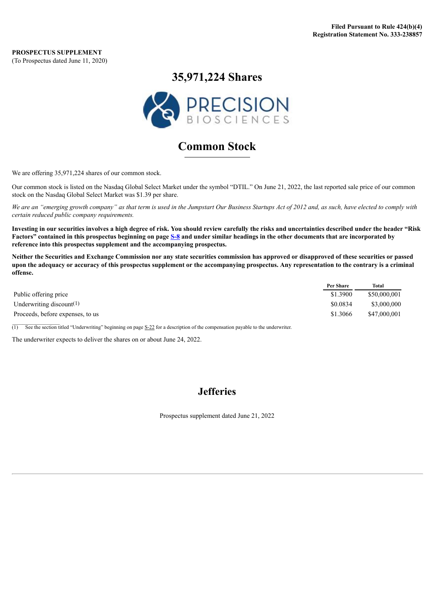**PROSPECTUS SUPPLEMENT** (To Prospectus dated June 11, 2020)

## **35,971,224 Shares**



# **Common Stock**

We are offering 35,971,224 shares of our common stock.

Our common stock is listed on the Nasdaq Global Select Market under the symbol "DTIL." On June 21, 2022, the last reported sale price of our common stock on the Nasdaq Global Select Market was \$1.39 per share.

We are an "emerging growth company" as that term is used in the Jumpstart Our Business Startups Act of 2012 and, as such, have elected to comply with *certain reduced public company requirements.*

Investing in our securities involves a high degree of risk. You should review carefully the risks and uncertainties described under the header "Risk Factors" contained in this prospectus beginning on page [S-8](#page-8-0) and under similar headings in the other documents that are incorporated by **reference into this prospectus supplement and the accompanying prospectus.**

Neither the Securities and Exchange Commission nor any state securities commission has approved or disapproved of these securities or passed upon the adequacy or accuracy of this prospectus supplement or the accompanying prospectus. Any representation to the contrary is a criminal **offense.**

|                                  | Per Share | Total        |
|----------------------------------|-----------|--------------|
| Public offering price            | \$1.3900  | \$50,000,001 |
| Underwriting discount $(1)$      | \$0.0834  | \$3,000,000  |
| Proceeds, before expenses, to us | \$1.3066  | \$47,000,001 |

 $\overline{(1)}$  See the section titled "Underwriting" beginning on page [S-22](#page-22-0) for a description of the compensation payable to the underwriter.

The underwriter expects to deliver the shares on or about June 24, 2022.

## **Jefferies**

Prospectus supplement dated June 21, 2022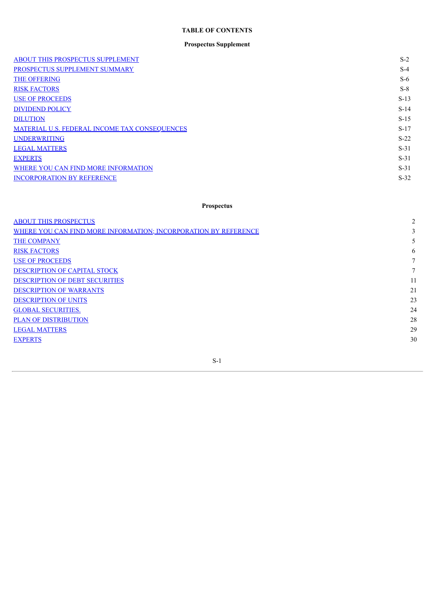## **TABLE OF CONTENTS**

## **Prospectus Supplement**

| <b>ABOUT THIS PROSPECTUS SUPPLEMENT</b>       | $S-2$  |
|-----------------------------------------------|--------|
| PROSPECTUS SUPPLEMENT SUMMARY                 | $S-4$  |
| <b>THE OFFERING</b>                           | $S-6$  |
| <b>RISK FACTORS</b>                           | $S-8$  |
| <b>USE OF PROCEEDS</b>                        | $S-13$ |
| <b>DIVIDEND POLICY</b>                        | $S-14$ |
| <b>DILUTION</b>                               | $S-15$ |
| MATERIAL U.S. FEDERAL INCOME TAX CONSEQUENCES | $S-17$ |
| <b>UNDERWRITING</b>                           | $S-22$ |
| <b>LEGAL MATTERS</b>                          | $S-31$ |
| <b>EXPERTS</b>                                | $S-31$ |
| WHERE YOU CAN FIND MORE INFORMATION           | $S-31$ |
| <b>INCORPORATION BY REFERENCE</b>             | $S-32$ |
|                                               |        |

## **Prospectus**

| <b>ABOUT THIS PROSPECTUS</b>                                    | 2  |
|-----------------------------------------------------------------|----|
| WHERE YOU CAN FIND MORE INFORMATION; INCORPORATION BY REFERENCE | 3  |
| THE COMPANY                                                     | 5  |
| <b>RISK FACTORS</b>                                             | 6  |
| <b>USE OF PROCEEDS</b>                                          | 7  |
| DESCRIPTION OF CAPITAL STOCK                                    | 7  |
| DESCRIPTION OF DEBT SECURITIES                                  | 11 |
| <b>DESCRIPTION OF WARRANTS</b>                                  | 21 |
| <b>DESCRIPTION OF UNITS</b>                                     | 23 |
| <b>GLOBAL SECURITIES.</b>                                       | 24 |
| <b>PLAN OF DISTRIBUTION</b>                                     | 28 |
| <b>LEGAL MATTERS</b>                                            | 29 |
| <b>EXPERTS</b>                                                  | 30 |
|                                                                 |    |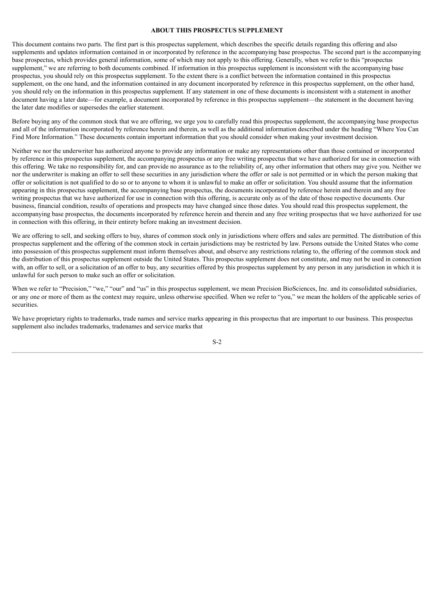#### **ABOUT THIS PROSPECTUS SUPPLEMENT**

<span id="page-2-0"></span>This document contains two parts. The first part is this prospectus supplement, which describes the specific details regarding this offering and also supplements and updates information contained in or incorporated by reference in the accompanying base prospectus. The second part is the accompanying base prospectus, which provides general information, some of which may not apply to this offering. Generally, when we refer to this "prospectus supplement," we are referring to both documents combined. If information in this prospectus supplement is inconsistent with the accompanying base prospectus, you should rely on this prospectus supplement. To the extent there is a conflict between the information contained in this prospectus supplement, on the one hand, and the information contained in any document incorporated by reference in this prospectus supplement, on the other hand, you should rely on the information in this prospectus supplement. If any statement in one of these documents is inconsistent with a statement in another document having a later date—for example, a document incorporated by reference in this prospectus supplement—the statement in the document having the later date modifies or supersedes the earlier statement.

Before buying any of the common stock that we are offering, we urge you to carefully read this prospectus supplement, the accompanying base prospectus and all of the information incorporated by reference herein and therein, as well as the additional information described under the heading "Where You Can Find More Information." These documents contain important information that you should consider when making your investment decision.

Neither we nor the underwriter has authorized anyone to provide any information or make any representations other than those contained or incorporated by reference in this prospectus supplement, the accompanying prospectus or any free writing prospectus that we have authorized for use in connection with this offering. We take no responsibility for, and can provide no assurance as to the reliability of, any other information that others may give you. Neither we nor the underwriter is making an offer to sell these securities in any jurisdiction where the offer or sale is not permitted or in which the person making that offer or solicitation is not qualified to do so or to anyone to whom it is unlawful to make an offer or solicitation. You should assume that the information appearing in this prospectus supplement, the accompanying base prospectus, the documents incorporated by reference herein and therein and any free writing prospectus that we have authorized for use in connection with this offering, is accurate only as of the date of those respective documents. Our business, financial condition, results of operations and prospects may have changed since those dates. You should read this prospectus supplement, the accompanying base prospectus, the documents incorporated by reference herein and therein and any free writing prospectus that we have authorized for use in connection with this offering, in their entirety before making an investment decision.

We are offering to sell, and seeking offers to buy, shares of common stock only in jurisdictions where offers and sales are permitted. The distribution of this prospectus supplement and the offering of the common stock in certain jurisdictions may be restricted by law. Persons outside the United States who come into possession of this prospectus supplement must inform themselves about, and observe any restrictions relating to, the offering of the common stock and the distribution of this prospectus supplement outside the United States. This prospectus supplement does not constitute, and may not be used in connection with, an offer to sell, or a solicitation of an offer to buy, any securities offered by this prospectus supplement by any person in any jurisdiction in which it is unlawful for such person to make such an offer or solicitation.

When we refer to "Precision," "we," "our" and "us" in this prospectus supplement, we mean Precision BioSciences, Inc. and its consolidated subsidiaries, or any one or more of them as the context may require, unless otherwise specified. When we refer to "you," we mean the holders of the applicable series of securities.

We have proprietary rights to trademarks, trade names and service marks appearing in this prospectus that are important to our business. This prospectus supplement also includes trademarks, tradenames and service marks that

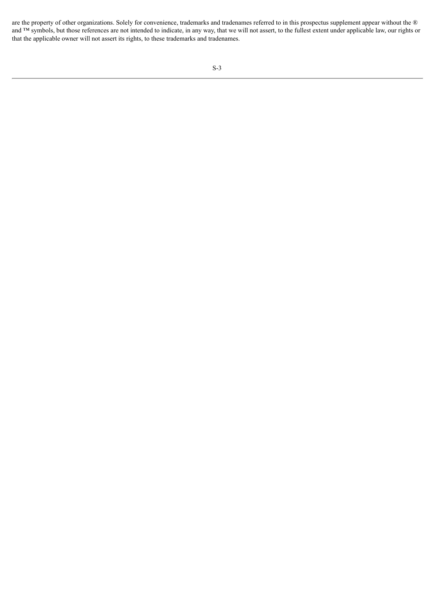are the property of other organizations. Solely for convenience, trademarks and tradenames referred to in this prospectus supplement appear without the ® and ™ symbols, but those references are not intended to indicate, in any way, that we will not assert, to the fullest extent under applicable law, our rights or that the applicable owner will not assert its rights, to these trademarks and tradenames.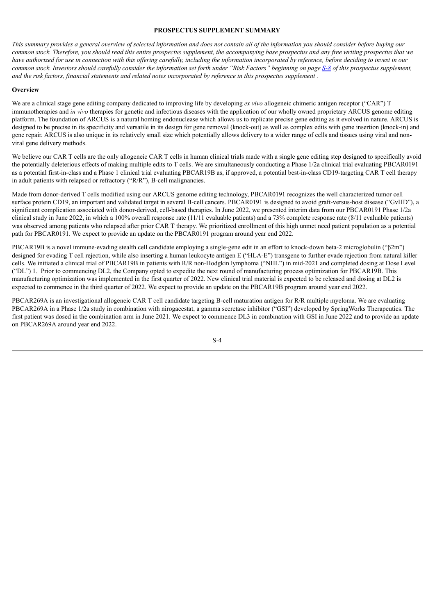#### **PROSPECTUS SUPPLEMENT SUMMARY**

<span id="page-4-0"></span>This summary provides a general overview of selected information and does not contain all of the information you should consider before buying our common stock. Therefore, you should read this entire prospectus supplement, the accompanying base prospectus and any free writing prospectus that we have authorized for use in connection with this offering carefully, including the information incorporated by reference, before deciding to invest in our common stock. Investors should carefully consider the information set forth under "Risk Factors" beginning on page [S-8](#page-8-0) of this prospectus supplement, and the risk factors, financial statements and related notes incorporated by reference in this prospectus supplement.

#### **Overview**

We are a clinical stage gene editing company dedicated to improving life by developing *ex vivo* allogeneic chimeric antigen receptor ("CAR") T immunotherapies and *in vivo* therapies for genetic and infectious diseases with the application of our wholly owned proprietary ARCUS genome editing platform. The foundation of ARCUS is a natural homing endonuclease which allows us to replicate precise gene editing as it evolved in nature. ARCUS is designed to be precise in its specificity and versatile in its design for gene removal (knock-out) as well as complex edits with gene insertion (knock-in) and gene repair. ARCUS is also unique in its relatively small size which potentially allows delivery to a wider range of cells and tissues using viral and nonviral gene delivery methods.

We believe our CAR T cells are the only allogeneic CAR T cells in human clinical trials made with a single gene editing step designed to specifically avoid the potentially deleterious effects of making multiple edits to T cells. We are simultaneously conducting a Phase 1/2a clinical trial evaluating PBCAR0191 as a potential first-in-class and a Phase 1 clinical trial evaluating PBCAR19B as, if approved, a potential best-in-class CD19-targeting CAR T cell therapy in adult patients with relapsed or refractory ("R/R"), B-cell malignancies.

Made from donor-derived T cells modified using our ARCUS genome editing technology, PBCAR0191 recognizes the well characterized tumor cell surface protein CD19, an important and validated target in several B-cell cancers. PBCAR0191 is designed to avoid graft-versus-host disease ("GvHD"), a significant complication associated with donor-derived, cell-based therapies. In June 2022, we presented interim data from our PBCAR0191 Phase 1/2a clinical study in June 2022, in which a 100% overall response rate (11/11 evaluable patients) and a 73% complete response rate (8/11 evaluable patients) was observed among patients who relapsed after prior CAR T therapy. We prioritized enrollment of this high unmet need patient population as a potential path for PBCAR0191. We expect to provide an update on the PBCAR0191 program around year end 2022.

PBCAR19B is a novel immune-evading stealth cell candidate employing a single-gene edit in an effort to knock-down beta-2 microglobulin ("β2m") designed for evading T cell rejection, while also inserting a human leukocyte antigen E ("HLA-E") transgene to further evade rejection from natural killer cells. We initiated a clinical trial of PBCAR19B in patients with R/R non-Hodgkin lymphoma ("NHL") in mid-2021 and completed dosing at Dose Level ("DL") 1. Prior to commencing DL2, the Company opted to expedite the next round of manufacturing process optimization for PBCAR19B. This manufacturing optimization was implemented in the first quarter of 2022. New clinical trial material is expected to be released and dosing at DL2 is expected to commence in the third quarter of 2022. We expect to provide an update on the PBCAR19B program around year end 2022.

PBCAR269A is an investigational allogeneic CAR T cell candidate targeting B-cell maturation antigen for R/R multiple myeloma. We are evaluating PBCAR269A in a Phase 1/2a study in combination with nirogacestat, a gamma secretase inhibitor ("GSI") developed by SpringWorks Therapeutics. The first patient was dosed in the combination arm in June 2021. We expect to commence DL3 in combination with GSI in June 2022 and to provide an update on PBCAR269A around year end 2022.

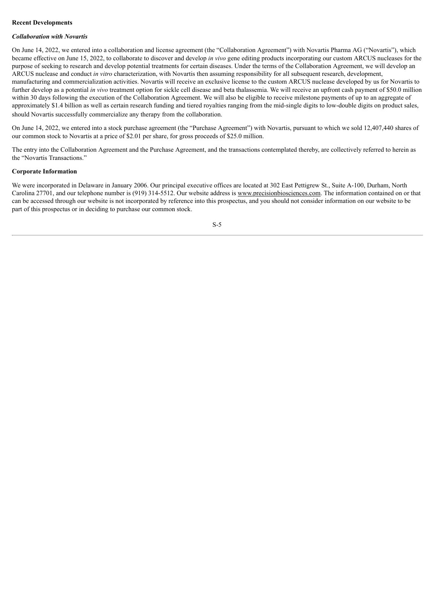## **Recent Developments**

#### *Collaboration with Novartis*

On June 14, 2022, we entered into a collaboration and license agreement (the "Collaboration Agreement") with Novartis Pharma AG ("Novartis"), which became effective on June 15, 2022, to collaborate to discover and develop *in vivo* gene editing products incorporating our custom ARCUS nucleases for the purpose of seeking to research and develop potential treatments for certain diseases. Under the terms of the Collaboration Agreement, we will develop an ARCUS nuclease and conduct *in vitro* characterization, with Novartis then assuming responsibility for all subsequent research, development, manufacturing and commercialization activities. Novartis will receive an exclusive license to the custom ARCUS nuclease developed by us for Novartis to further develop as a potential *in vivo* treatment option for sickle cell disease and beta thalassemia. We will receive an upfront cash payment of \$50.0 million within 30 days following the execution of the Collaboration Agreement. We will also be eligible to receive milestone payments of up to an aggregate of approximately \$1.4 billion as well as certain research funding and tiered royalties ranging from the mid-single digits to low-double digits on product sales, should Novartis successfully commercialize any therapy from the collaboration.

On June 14, 2022, we entered into a stock purchase agreement (the "Purchase Agreement") with Novartis, pursuant to which we sold 12,407,440 shares of our common stock to Novartis at a price of \$2.01 per share, for gross proceeds of \$25.0 million.

The entry into the Collaboration Agreement and the Purchase Agreement, and the transactions contemplated thereby, are collectively referred to herein as the "Novartis Transactions."

## **Corporate Information**

We were incorporated in Delaware in January 2006. Our principal executive offices are located at 302 East Pettigrew St., Suite A-100, Durham, North Carolina 27701, and our telephone number is (919) 314-5512. Our website address is www.precisionbiosciences.com. The information contained on or that can be accessed through our website is not incorporated by reference into this prospectus, and you should not consider information on our website to be part of this prospectus or in deciding to purchase our common stock.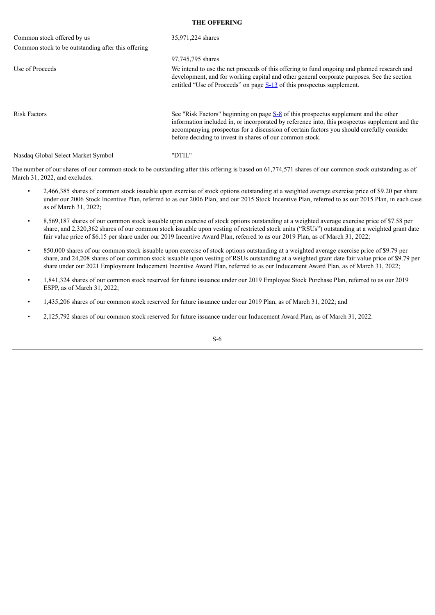## **THE OFFERING**

<span id="page-6-0"></span>

| Common stock offered by us                         | 35,971,224 shares                                                                                                                                                                                                                                                                                                                                 |
|----------------------------------------------------|---------------------------------------------------------------------------------------------------------------------------------------------------------------------------------------------------------------------------------------------------------------------------------------------------------------------------------------------------|
| Common stock to be outstanding after this offering |                                                                                                                                                                                                                                                                                                                                                   |
|                                                    | 97,745,795 shares                                                                                                                                                                                                                                                                                                                                 |
| Use of Proceeds                                    | We intend to use the net proceeds of this offering to fund ongoing and planned research and<br>development, and for working capital and other general corporate purposes. See the section<br>entitled "Use of Proceeds" on page $S-13$ of this prospectus supplement.                                                                             |
| <b>Risk Factors</b>                                | See "Risk Factors" beginning on page $S-8$ of this prospectus supplement and the other<br>information included in, or incorporated by reference into, this prospectus supplement and the<br>accompanying prospectus for a discussion of certain factors you should carefully consider<br>before deciding to invest in shares of our common stock. |
| Nasdaq Global Select Market Symbol                 | "DTIL"                                                                                                                                                                                                                                                                                                                                            |

The number of our shares of our common stock to be outstanding after this offering is based on 61,774,571 shares of our common stock outstanding as of March 31, 2022, and excludes:

- 2,466,385 shares of common stock issuable upon exercise of stock options outstanding at a weighted average exercise price of \$9.20 per share under our 2006 Stock Incentive Plan, referred to as our 2006 Plan, and our 2015 Stock Incentive Plan, referred to as our 2015 Plan, in each case as of March 31, 2022;
- 8,569,187 shares of our common stock issuable upon exercise of stock options outstanding at a weighted average exercise price of \$7.58 per share, and 2,320,362 shares of our common stock issuable upon vesting of restricted stock units ("RSUs") outstanding at a weighted grant date fair value price of \$6.15 per share under our 2019 Incentive Award Plan, referred to as our 2019 Plan, as of March 31, 2022;
- 850,000 shares of our common stock issuable upon exercise of stock options outstanding at a weighted average exercise price of \$9.79 per share, and 24,208 shares of our common stock issuable upon vesting of RSUs outstanding at a weighted grant date fair value price of \$9.79 per share under our 2021 Employment Inducement Incentive Award Plan, referred to as our Inducement Award Plan, as of March 31, 2022;
- 1,841,324 shares of our common stock reserved for future issuance under our 2019 Employee Stock Purchase Plan, referred to as our 2019 ESPP, as of March 31, 2022;
- 1,435,206 shares of our common stock reserved for future issuance under our 2019 Plan, as of March 31, 2022; and
- 2,125,792 shares of our common stock reserved for future issuance under our Inducement Award Plan, as of March 31, 2022.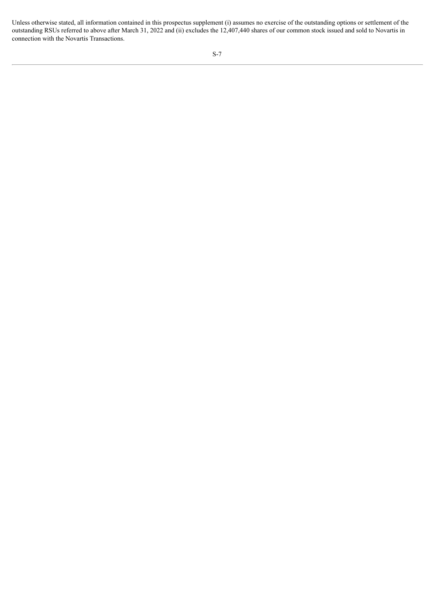Unless otherwise stated, all information contained in this prospectus supplement (i) assumes no exercise of the outstanding options or settlement of the outstanding RSUs referred to above after March 31, 2022 and (ii) excludes the 12,407,440 shares of our common stock issued and sold to Novartis in connection with the Novartis Transactions.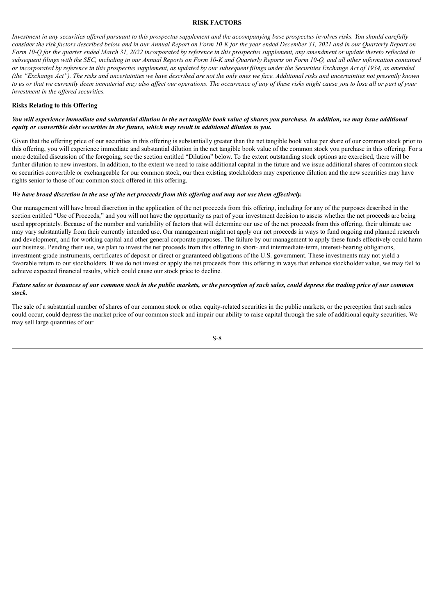#### **RISK FACTORS**

<span id="page-8-0"></span>Investment in any securities offered pursuant to this prospectus supplement and the accompanying base prospectus involves risks. You should carefully consider the risk factors described below and in our Annual Report on Form 10-K for the year ended December 31, 2021 and in our Quarterly Report on Form 10-Q for the quarter ended March 31, 2022 incorporated by reference in this prospectus supplement, any amendment or update thereto reflected in subsequent filings with the SEC, including in our Annual Reports on Form 10-K and Quarterly Reports on Form 10-Q, and all other information contained or incorporated by reference in this prospectus supplement, as updated by our subsequent filings under the Securities Exchange Act of 1934, as amended (the "Exchange Act"). The risks and uncertainties we have described are not the only ones we face. Additional risks and uncertainties not presently known to us or that we currently deem immaterial may also affect our operations. The occurrence of any of these risks might cause you to lose all or part of your *investment in the of ered securities.*

### **Risks Relating to this Offering**

### You will experience immediate and substantial dilution in the net tangible book value of shares you purchase. In addition, we may issue additional *equity or convertible debt securities in the future, which may result in additional dilution to you.*

Given that the offering price of our securities in this offering is substantially greater than the net tangible book value per share of our common stock prior to this offering, you will experience immediate and substantial dilution in the net tangible book value of the common stock you purchase in this offering. For a more detailed discussion of the foregoing, see the section entitled "Dilution" below. To the extent outstanding stock options are exercised, there will be further dilution to new investors. In addition, to the extent we need to raise additional capital in the future and we issue additional shares of common stock or securities convertible or exchangeable for our common stock, our then existing stockholders may experience dilution and the new securities may have rights senior to those of our common stock offered in this offering.

#### We have broad discretion in the use of the net proceeds from this offering and may not use them effectively.

Our management will have broad discretion in the application of the net proceeds from this offering, including for any of the purposes described in the section entitled "Use of Proceeds," and you will not have the opportunity as part of your investment decision to assess whether the net proceeds are being used appropriately. Because of the number and variability of factors that will determine our use of the net proceeds from this offering, their ultimate use may vary substantially from their currently intended use. Our management might not apply our net proceeds in ways to fund ongoing and planned research and development, and for working capital and other general corporate purposes. The failure by our management to apply these funds effectively could harm our business. Pending their use, we plan to invest the net proceeds from this offering in short- and intermediate-term, interest-bearing obligations, investment-grade instruments, certificates of deposit or direct or guaranteed obligations of the U.S. government. These investments may not yield a favorable return to our stockholders. If we do not invest or apply the net proceeds from this offering in ways that enhance stockholder value, we may fail to achieve expected financial results, which could cause our stock price to decline.

## Future sales or issuances of our common stock in the public markets, or the perception of such sales, could depress the trading price of our common *stock.*

The sale of a substantial number of shares of our common stock or other equity-related securities in the public markets, or the perception that such sales could occur, could depress the market price of our common stock and impair our ability to raise capital through the sale of additional equity securities. We may sell large quantities of our

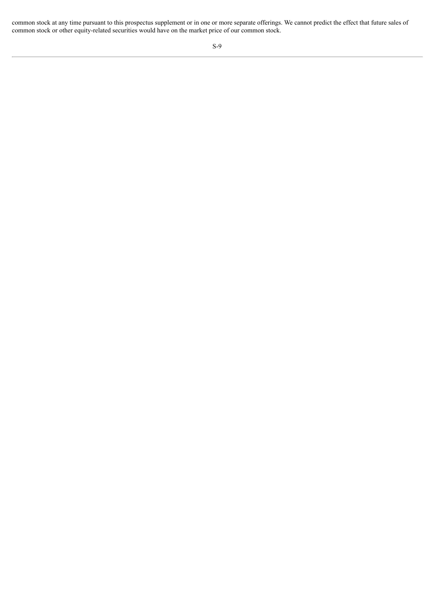common stock at any time pursuant to this prospectus supplement or in one or more separate offerings. We cannot predict the effect that future sales of common stock or other equity-related securities would have on the market price of our common stock.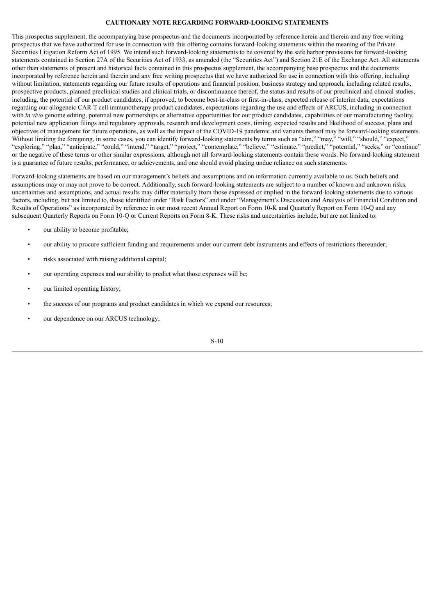## **CAUTIONARY NOTE REGARDING FORWARD-LOOKING STATEMENTS**

This prospectus supplement, the accompanying base prospectus and the documents incorporated by reference herein and therein and any free writing prospectus that we have authorized for use in connection with this offering contains forward-looking statements within the meaning of the Private Securities Litigation Reform Act of 1995. We intend such forward-looking statements to be covered by the safe harbor provisions for forward-looking statements contained in Section 27A of the Securities Act of 1933, as amended (the "Securities Act") and Section 21E of the Exchange Act. All statements other than statements of present and historical facts contained in this prospectus supplement, the accompanying base prospectus and the documents incorporated by reference herein and therein and any free writing prospectus that we have authorized for use in connection with this offering, including without limitation, statements regarding our future results of operations and financial position, business strategy and approach, including related results, prospective products, planned preclinical studies and clinical trials, or discontinuance thereof, the status and results of our preclinical and clinical studies, including, the potential of our product candidates, if approved, to become best-in-class or first-in-class, expected release of interim data, expectations regarding our allogeneic CAR T cell immunotherapy product candidates, expectations regarding the use and effects of ARCUS, including in connection with *in vivo* genome editing, potential new partnerships or alternative opportunities for our product candidates, capabilities of our manufacturing facility, potential new application filings and regulatory approvals, research and development costs, timing, expected results and likelihood of success, plans and objectives of management for future operations, as well as the impact of the COVID-19 pandemic and variants thereof may be forward-looking statements. Without limiting the foregoing, in some cases, you can identify forward-looking statements by terms such as "aim," "may," "will," "should," "expect," "exploring," "plan," "anticipate," "could," "intend," "target," "project," "contemplate," "believe," "estimate," "predict," "potential," "seeks," or "continue" or the negative of these terms or other similar expressions, although not all forward-looking statements contain these words. No forward-looking statement is a guarantee of future results, performance, or achievements, and one should avoid placing undue reliance on such statements.

Forward-looking statements are based on our management's beliefs and assumptions and on information currently available to us. Such beliefs and assumptions may or may not prove to be correct. Additionally, such forward-looking statements are subject to a number of known and unknown risks, uncertainties and assumptions, and actual results may differ materially from those expressed or implied in the forward-looking statements due to various factors, including, but not limited to, those identified under "Risk Factors" and under "Management's Discussion and Analysis of Financial Condition and Results of Operations" as incorporated by reference in our most recent Annual Report on Form 10-K and Quarterly Report on Form 10-Q and any subsequent Quarterly Reports on Form 10-Q or Current Reports on Form 8-K. These risks and uncertainties include, but are not limited to:

- our ability to become profitable:
- our ability to procure sufficient funding and requirements under our current debt instruments and effects of restrictions thereunder;
- risks associated with raising additional capital;
- our operating expenses and our ability to predict what those expenses will be;
- our limited operating history;
- the success of our programs and product candidates in which we expend our resources;
- our dependence on our ARCUS technology;

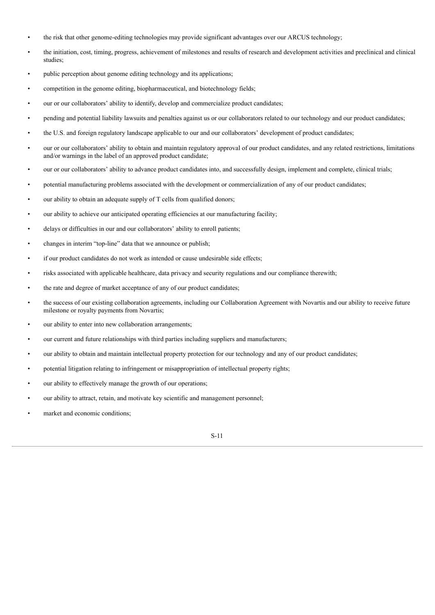- the risk that other genome-editing technologies may provide significant advantages over our ARCUS technology;
- the initiation, cost, timing, progress, achievement of milestones and results of research and development activities and preclinical and clinical studies;
- public perception about genome editing technology and its applications;
- competition in the genome editing, biopharmaceutical, and biotechnology fields;
- our or our collaborators' ability to identify, develop and commercialize product candidates;
- pending and potential liability lawsuits and penalties against us or our collaborators related to our technology and our product candidates;
- the U.S. and foreign regulatory landscape applicable to our and our collaborators' development of product candidates;
- our or our collaborators' ability to obtain and maintain regulatory approval of our product candidates, and any related restrictions, limitations and/or warnings in the label of an approved product candidate;
- our or our collaborators' ability to advance product candidates into, and successfully design, implement and complete, clinical trials;
- potential manufacturing problems associated with the development or commercialization of any of our product candidates;
- our ability to obtain an adequate supply of T cells from qualified donors;
- our ability to achieve our anticipated operating efficiencies at our manufacturing facility;
- delays or difficulties in our and our collaborators' ability to enroll patients;
- changes in interim "top-line" data that we announce or publish;
- if our product candidates do not work as intended or cause undesirable side effects;
- risks associated with applicable healthcare, data privacy and security regulations and our compliance therewith;
- the rate and degree of market acceptance of any of our product candidates;
- the success of our existing collaboration agreements, including our Collaboration Agreement with Novartis and our ability to receive future milestone or royalty payments from Novartis;
- our ability to enter into new collaboration arrangements;
- our current and future relationships with third parties including suppliers and manufacturers;
- our ability to obtain and maintain intellectual property protection for our technology and any of our product candidates;
- potential litigation relating to infringement or misappropriation of intellectual property rights;
- our ability to effectively manage the growth of our operations;
- our ability to attract, retain, and motivate key scientific and management personnel;
- market and economic conditions;

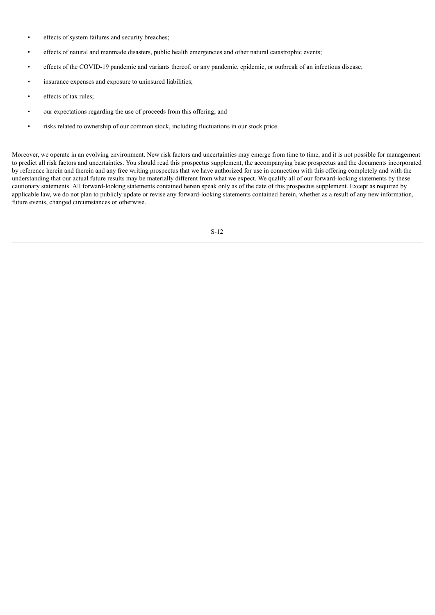- effects of system failures and security breaches:
- effects of natural and manmade disasters, public health emergencies and other natural catastrophic events;
- effects of the COVID-19 pandemic and variants thereof, or any pandemic, epidemic, or outbreak of an infectious disease;
- insurance expenses and exposure to uninsured liabilities;
- effects of tax rules:
- our expectations regarding the use of proceeds from this offering; and
- risks related to ownership of our common stock, including fluctuations in our stock price.

Moreover, we operate in an evolving environment. New risk factors and uncertainties may emerge from time to time, and it is not possible for management to predict all risk factors and uncertainties. You should read this prospectus supplement, the accompanying base prospectus and the documents incorporated by reference herein and therein and any free writing prospectus that we have authorized for use in connection with this offering completely and with the understanding that our actual future results may be materially different from what we expect. We qualify all of our forward-looking statements by these cautionary statements. All forward-looking statements contained herein speak only as of the date of this prospectus supplement. Except as required by applicable law, we do not plan to publicly update or revise any forward-looking statements contained herein, whether as a result of any new information, future events, changed circumstances or otherwise.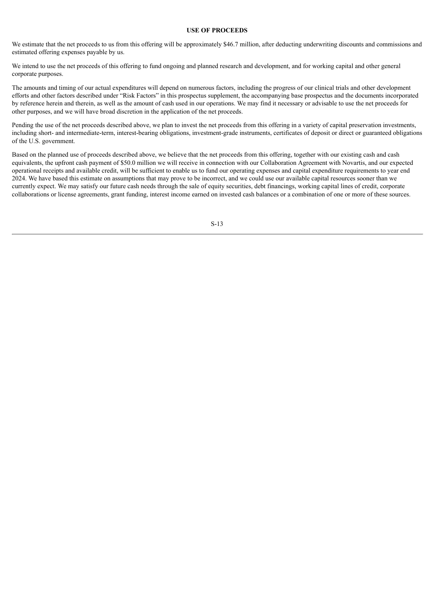#### **USE OF PROCEEDS**

<span id="page-13-0"></span>We estimate that the net proceeds to us from this offering will be approximately \$46.7 million, after deducting underwriting discounts and commissions and estimated offering expenses payable by us.

We intend to use the net proceeds of this offering to fund ongoing and planned research and development, and for working capital and other general corporate purposes.

The amounts and timing of our actual expenditures will depend on numerous factors, including the progress of our clinical trials and other development efforts and other factors described under "Risk Factors" in this prospectus supplement, the accompanying base prospectus and the documents incorporated by reference herein and therein, as well as the amount of cash used in our operations. We may find it necessary or advisable to use the net proceeds for other purposes, and we will have broad discretion in the application of the net proceeds.

Pending the use of the net proceeds described above, we plan to invest the net proceeds from this offering in a variety of capital preservation investments, including short- and intermediate-term, interest-bearing obligations, investment-grade instruments, certificates of deposit or direct or guaranteed obligations of the U.S. government.

Based on the planned use of proceeds described above, we believe that the net proceeds from this offering, together with our existing cash and cash equivalents, the upfront cash payment of \$50.0 million we will receive in connection with our Collaboration Agreement with Novartis, and our expected operational receipts and available credit, will be sufficient to enable us to fund our operating expenses and capital expenditure requirements to year end 2024. We have based this estimate on assumptions that may prove to be incorrect, and we could use our available capital resources sooner than we currently expect. We may satisfy our future cash needs through the sale of equity securities, debt financings, working capital lines of credit, corporate collaborations or license agreements, grant funding, interest income earned on invested cash balances or a combination of one or more of these sources.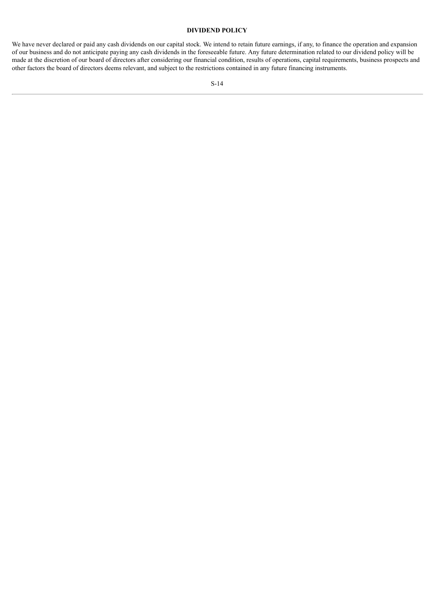## **DIVIDEND POLICY**

<span id="page-14-0"></span>We have never declared or paid any cash dividends on our capital stock. We intend to retain future earnings, if any, to finance the operation and expansion of our business and do not anticipate paying any cash dividends in the foreseeable future. Any future determination related to our dividend policy will be made at the discretion of our board of directors after considering our financial condition, results of operations, capital requirements, business prospects and other factors the board of directors deems relevant, and subject to the restrictions contained in any future financing instruments.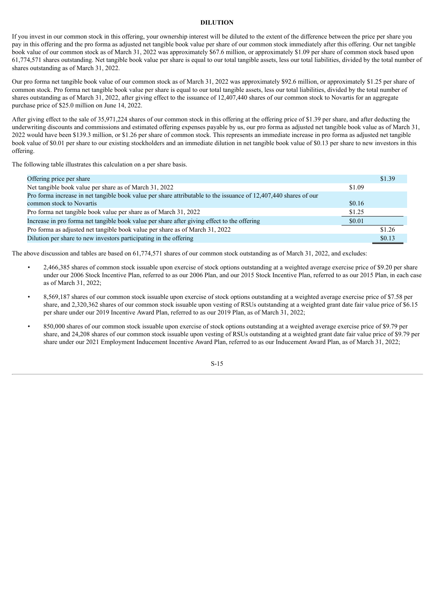#### **DILUTION**

<span id="page-15-0"></span>If you invest in our common stock in this offering, your ownership interest will be diluted to the extent of the difference between the price per share you pay in this offering and the pro forma as adjusted net tangible book value per share of our common stock immediately after this offering. Our net tangible book value of our common stock as of March 31, 2022 was approximately \$67.6 million, or approximately \$1.09 per share of common stock based upon 61,774,571 shares outstanding. Net tangible book value per share is equal to our total tangible assets, less our total liabilities, divided by the total number of shares outstanding as of March 31, 2022.

Our pro forma net tangible book value of our common stock as of March 31, 2022 was approximately \$92.6 million, or approximately \$1.25 per share of common stock. Pro forma net tangible book value per share is equal to our total tangible assets, less our total liabilities, divided by the total number of shares outstanding as of March 31, 2022, after giving effect to the issuance of 12,407,440 shares of our common stock to Novartis for an aggregate purchase price of \$25.0 million on June 14, 2022.

After giving effect to the sale of 35,971,224 shares of our common stock in this offering at the offering price of \$1.39 per share, and after deducting the underwriting discounts and commissions and estimated offering expenses payable by us, our pro forma as adjusted net tangible book value as of March 31, 2022 would have been \$139.3 million, or \$1.26 per share of common stock. This represents an immediate increase in pro forma as adjusted net tangible book value of \$0.01 per share to our existing stockholders and an immediate dilution in net tangible book value of \$0.13 per share to new investors in this offering.

The following table illustrates this calculation on a per share basis.

| Offering price per share                                                                                         |        | \$1.39 |
|------------------------------------------------------------------------------------------------------------------|--------|--------|
| Net tangible book value per share as of March 31, 2022                                                           | \$1.09 |        |
| Pro forma increase in net tangible book value per share attributable to the issuance of 12,407,440 shares of our |        |        |
| common stock to Novartis                                                                                         | \$0.16 |        |
| Pro forma net tangible book value per share as of March 31, 2022                                                 | \$1.25 |        |
| Increase in pro forma net tangible book value per share after giving effect to the offering                      | \$0.01 |        |
| Pro forma as adjusted net tangible book value per share as of March 31, 2022                                     |        | \$1.26 |
| Dilution per share to new investors participating in the offering                                                |        | \$0.13 |

The above discussion and tables are based on 61,774,571 shares of our common stock outstanding as of March 31, 2022, and excludes:

- 2,466,385 shares of common stock issuable upon exercise of stock options outstanding at a weighted average exercise price of \$9.20 per share under our 2006 Stock Incentive Plan, referred to as our 2006 Plan, and our 2015 Stock Incentive Plan, referred to as our 2015 Plan, in each case as of March 31, 2022;
- 8,569,187 shares of our common stock issuable upon exercise of stock options outstanding at a weighted average exercise price of \$7.58 per share, and 2,320,362 shares of our common stock issuable upon vesting of RSUs outstanding at a weighted grant date fair value price of \$6.15 per share under our 2019 Incentive Award Plan, referred to as our 2019 Plan, as of March 31, 2022;
- 850,000 shares of our common stock issuable upon exercise of stock options outstanding at a weighted average exercise price of \$9.79 per share, and 24,208 shares of our common stock issuable upon vesting of RSUs outstanding at a weighted grant date fair value price of \$9.79 per share under our 2021 Employment Inducement Incentive Award Plan, referred to as our Inducement Award Plan, as of March 31, 2022;

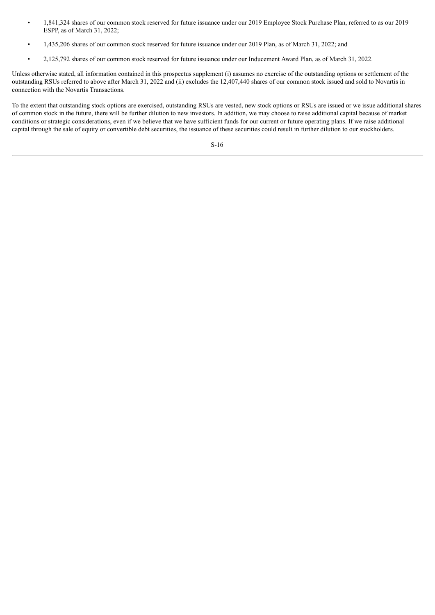- 1,841,324 shares of our common stock reserved for future issuance under our 2019 Employee Stock Purchase Plan, referred to as our 2019 ESPP, as of March 31, 2022;
- 1,435,206 shares of our common stock reserved for future issuance under our 2019 Plan, as of March 31, 2022; and
- 2,125,792 shares of our common stock reserved for future issuance under our Inducement Award Plan, as of March 31, 2022.

Unless otherwise stated, all information contained in this prospectus supplement (i) assumes no exercise of the outstanding options or settlement of the outstanding RSUs referred to above after March 31, 2022 and (ii) excludes the 12,407,440 shares of our common stock issued and sold to Novartis in connection with the Novartis Transactions.

To the extent that outstanding stock options are exercised, outstanding RSUs are vested, new stock options or RSUs are issued or we issue additional shares of common stock in the future, there will be further dilution to new investors. In addition, we may choose to raise additional capital because of market conditions or strategic considerations, even if we believe that we have sufficient funds for our current or future operating plans. If we raise additional capital through the sale of equity or convertible debt securities, the issuance of these securities could result in further dilution to our stockholders.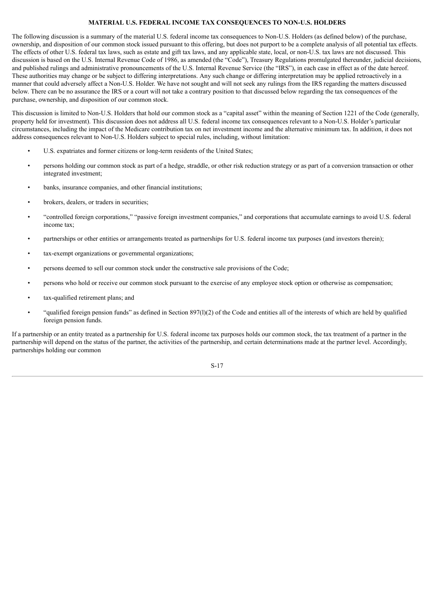## **MATERIAL U.S. FEDERAL INCOME TAX CONSEQUENCES TO NON-U.S. HOLDERS**

<span id="page-17-0"></span>The following discussion is a summary of the material U.S. federal income tax consequences to Non-U.S. Holders (as defined below) of the purchase, ownership, and disposition of our common stock issued pursuant to this offering, but does not purport to be a complete analysis of all potential tax effects. The effects of other U.S. federal tax laws, such as estate and gift tax laws, and any applicable state, local, or non-U.S. tax laws are not discussed. This discussion is based on the U.S. Internal Revenue Code of 1986, as amended (the "Code"), Treasury Regulations promulgated thereunder, judicial decisions, and published rulings and administrative pronouncements of the U.S. Internal Revenue Service (the "IRS"), in each case in effect as of the date hereof. These authorities may change or be subject to differing interpretations. Any such change or differing interpretation may be applied retroactively in a manner that could adversely affect a Non-U.S. Holder. We have not sought and will not seek any rulings from the IRS regarding the matters discussed below. There can be no assurance the IRS or a court will not take a contrary position to that discussed below regarding the tax consequences of the purchase, ownership, and disposition of our common stock.

This discussion is limited to Non-U.S. Holders that hold our common stock as a "capital asset" within the meaning of Section 1221 of the Code (generally, property held for investment). This discussion does not address all U.S. federal income tax consequences relevant to a Non-U.S. Holder's particular circumstances, including the impact of the Medicare contribution tax on net investment income and the alternative minimum tax. In addition, it does not address consequences relevant to Non-U.S. Holders subject to special rules, including, without limitation:

- U.S. expatriates and former citizens or long-term residents of the United States;
- persons holding our common stock as part of a hedge, straddle, or other risk reduction strategy or as part of a conversion transaction or other integrated investment;
- banks, insurance companies, and other financial institutions;
- brokers, dealers, or traders in securities;
- "controlled foreign corporations," "passive foreign investment companies," and corporations that accumulate earnings to avoid U.S. federal income tax;
- partnerships or other entities or arrangements treated as partnerships for U.S. federal income tax purposes (and investors therein);
- tax-exempt organizations or governmental organizations;
- persons deemed to sell our common stock under the constructive sale provisions of the Code;
- persons who hold or receive our common stock pursuant to the exercise of any employee stock option or otherwise as compensation;
- tax-qualified retirement plans; and
- "qualified foreign pension funds" as defined in Section  $897(1)(2)$  of the Code and entities all of the interests of which are held by qualified foreign pension funds.

If a partnership or an entity treated as a partnership for U.S. federal income tax purposes holds our common stock, the tax treatment of a partner in the partnership will depend on the status of the partner, the activities of the partnership, and certain determinations made at the partner level. Accordingly, partnerships holding our common

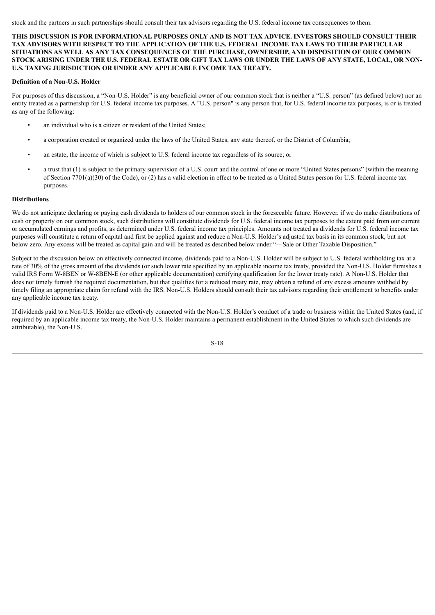stock and the partners in such partnerships should consult their tax advisors regarding the U.S. federal income tax consequences to them.

**THIS DISCUSSION IS FOR INFORMATIONAL PURPOSES ONLY AND IS NOT TAX ADVICE. INVESTORS SHOULD CONSULT THEIR TAX ADVISORS WITH RESPECT TO THE APPLICATION OF THE U.S. FEDERAL INCOME TAX LAWS TO THEIR PARTICULAR SITUATIONS AS WELL AS ANY TAX CONSEQUENCES OF THE PURCHASE, OWNERSHIP, AND DISPOSITION OF OUR COMMON** STOCK ARISING UNDER THE U.S. FEDERAL ESTATE OR GIFT TAX LAWS OR UNDER THE LAWS OF ANY STATE, LOCAL, OR NON-**U.S. TAXING JURISDICTION OR UNDER ANY APPLICABLE INCOME TAX TREATY.**

## **Definition of a Non-U.S. Holder**

For purposes of this discussion, a "Non-U.S. Holder" is any beneficial owner of our common stock that is neither a "U.S. person" (as defined below) nor an entity treated as a partnership for U.S. federal income tax purposes. A "U.S. person" is any person that, for U.S. federal income tax purposes, is or is treated as any of the following:

- an individual who is a citizen or resident of the United States;
- a corporation created or organized under the laws of the United States, any state thereof, or the District of Columbia;
- an estate, the income of which is subject to U.S. federal income tax regardless of its source; or
- a trust that (1) is subject to the primary supervision of a U.S. court and the control of one or more "United States persons" (within the meaning of Section 7701(a)(30) of the Code), or (2) has a valid election in effect to be treated as a United States person for U.S. federal income tax purposes.

## **Distributions**

We do not anticipate declaring or paying cash dividends to holders of our common stock in the foreseeable future. However, if we do make distributions of cash or property on our common stock, such distributions will constitute dividends for U.S. federal income tax purposes to the extent paid from our current or accumulated earnings and profits, as determined under U.S. federal income tax principles. Amounts not treated as dividends for U.S. federal income tax purposes will constitute a return of capital and first be applied against and reduce a Non-U.S. Holder's adjusted tax basis in its common stock, but not below zero. Any excess will be treated as capital gain and will be treated as described below under "—Sale or Other Taxable Disposition."

Subject to the discussion below on effectively connected income, dividends paid to a Non-U.S. Holder will be subject to U.S. federal withholding tax at a rate of 30% of the gross amount of the dividends (or such lower rate specified by an applicable income tax treaty, provided the Non-U.S. Holder furnishes a valid IRS Form W-8BEN or W-8BEN-E (or other applicable documentation) certifying qualification for the lower treaty rate). A Non-U.S. Holder that does not timely furnish the required documentation, but that qualifies for a reduced treaty rate, may obtain a refund of any excess amounts withheld by timely filing an appropriate claim for refund with the IRS. Non-U.S. Holders should consult their tax advisors regarding their entitlement to benefits under any applicable income tax treaty.

If dividends paid to a Non-U.S. Holder are effectively connected with the Non-U.S. Holder's conduct of a trade or business within the United States (and, if required by an applicable income tax treaty, the Non-U.S. Holder maintains a permanent establishment in the United States to which such dividends are attributable), the Non-U.S.

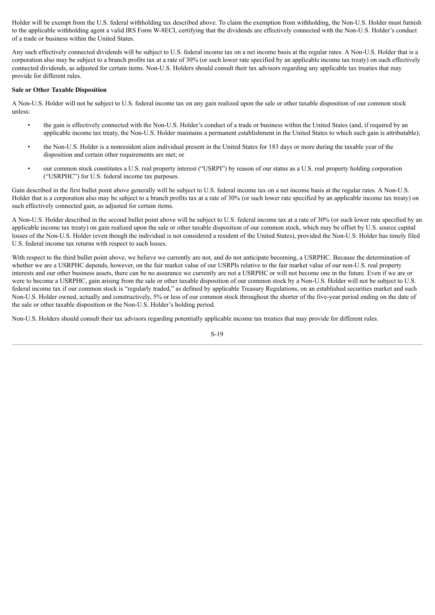Holder will be exempt from the U.S. federal withholding tax described above. To claim the exemption from withholding, the Non-U.S. Holder must furnish to the applicable withholding agent a valid IRS Form W-8ECI, certifying that the dividends are effectively connected with the Non-U.S. Holder's conduct of a trade or business within the United States.

Any such effectively connected dividends will be subject to U.S. federal income tax on a net income basis at the regular rates. A Non-U.S. Holder that is a corporation also may be subject to a branch profits tax at a rate of 30% (or such lower rate specified by an applicable income tax treaty) on such effectively connected dividends, as adjusted for certain items. Non-U.S. Holders should consult their tax advisors regarding any applicable tax treaties that may provide for different rules.

### **Sale or Other Taxable Disposition**

A Non-U.S. Holder will not be subject to U.S. federal income tax on any gain realized upon the sale or other taxable disposition of our common stock unless:

- the gain is effectively connected with the Non-U.S. Holder's conduct of a trade or business within the United States (and, if required by an applicable income tax treaty, the Non-U.S. Holder maintains a permanent establishment in the United States to which such gain is attributable);
- the Non-U.S. Holder is a nonresident alien individual present in the United States for 183 days or more during the taxable year of the disposition and certain other requirements are met; or
- our common stock constitutes a U.S. real property interest ("USRPI") by reason of our status as a U.S. real property holding corporation ("USRPHC") for U.S. federal income tax purposes.

Gain described in the first bullet point above generally will be subject to U.S. federal income tax on a net income basis at the regular rates. A Non-U.S. Holder that is a corporation also may be subject to a branch profits tax at a rate of 30% (or such lower rate specified by an applicable income tax treaty) on such effectively connected gain, as adjusted for certain items.

A Non-U.S. Holder described in the second bullet point above will be subject to U.S. federal income tax at a rate of 30% (or such lower rate specified by an applicable income tax treaty) on gain realized upon the sale or other taxable disposition of our common stock, which may be offset by U.S. source capital losses of the Non-U.S. Holder (even though the individual is not considered a resident of the United States), provided the Non-U.S. Holder has timely filed U.S. federal income tax returns with respect to such losses.

With respect to the third bullet point above, we believe we currently are not, and do not anticipate becoming, a USRPHC. Because the determination of whether we are a USRPHC depends, however, on the fair market value of our USRPIs relative to the fair market value of our non-U.S. real property interests and our other business assets, there can be no assurance we currently are not a USRPHC or will not become one in the future. Even if we are or were to become a USRPHC, gain arising from the sale or other taxable disposition of our common stock by a Non-U.S. Holder will not be subject to U.S. federal income tax if our common stock is "regularly traded," as defined by applicable Treasury Regulations, on an established securities market and such Non-U.S. Holder owned, actually and constructively, 5% or less of our common stock throughout the shorter of the five-year period ending on the date of the sale or other taxable disposition or the Non-U.S. Holder's holding period.

Non-U.S. Holders should consult their tax advisors regarding potentially applicable income tax treaties that may provide for different rules.

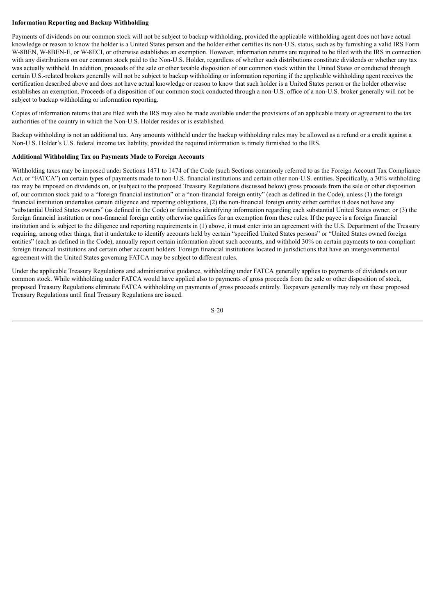## **Information Reporting and Backup Withholding**

Payments of dividends on our common stock will not be subject to backup withholding, provided the applicable withholding agent does not have actual knowledge or reason to know the holder is a United States person and the holder either certifies its non-U.S. status, such as by furnishing a valid IRS Form W-8BEN, W-8BEN-E, or W-8ECI, or otherwise establishes an exemption. However, information returns are required to be filed with the IRS in connection with any distributions on our common stock paid to the Non-U.S. Holder, regardless of whether such distributions constitute dividends or whether any tax was actually withheld. In addition, proceeds of the sale or other taxable disposition of our common stock within the United States or conducted through certain U.S.-related brokers generally will not be subject to backup withholding or information reporting if the applicable withholding agent receives the certification described above and does not have actual knowledge or reason to know that such holder is a United States person or the holder otherwise establishes an exemption. Proceeds of a disposition of our common stock conducted through a non-U.S. office of a non-U.S. broker generally will not be subject to backup withholding or information reporting.

Copies of information returns that are filed with the IRS may also be made available under the provisions of an applicable treaty or agreement to the tax authorities of the country in which the Non-U.S. Holder resides or is established.

Backup withholding is not an additional tax. Any amounts withheld under the backup withholding rules may be allowed as a refund or a credit against a Non-U.S. Holder's U.S. federal income tax liability, provided the required information is timely furnished to the IRS.

## **Additional Withholding Tax on Payments Made to Foreign Accounts**

Withholding taxes may be imposed under Sections 1471 to 1474 of the Code (such Sections commonly referred to as the Foreign Account Tax Compliance Act, or "FATCA") on certain types of payments made to non-U.S. financial institutions and certain other non-U.S. entities. Specifically, a 30% withholding tax may be imposed on dividends on, or (subject to the proposed Treasury Regulations discussed below) gross proceeds from the sale or other disposition of, our common stock paid to a "foreign financial institution" or a "non-financial foreign entity" (each as defined in the Code), unless (1) the foreign financial institution undertakes certain diligence and reporting obligations, (2) the non-financial foreign entity either certifies it does not have any "substantial United States owners" (as defined in the Code) or furnishes identifying information regarding each substantial United States owner, or (3) the foreign financial institution or non-financial foreign entity otherwise qualifies for an exemption from these rules. If the payee is a foreign financial institution and is subject to the diligence and reporting requirements in (1) above, it must enter into an agreement with the U.S. Department of the Treasury requiring, among other things, that it undertake to identify accounts held by certain "specified United States persons" or "United States owned foreign entities" (each as defined in the Code), annually report certain information about such accounts, and withhold 30% on certain payments to non-compliant foreign financial institutions and certain other account holders. Foreign financial institutions located in jurisdictions that have an intergovernmental agreement with the United States governing FATCA may be subject to different rules.

Under the applicable Treasury Regulations and administrative guidance, withholding under FATCA generally applies to payments of dividends on our common stock. While withholding under FATCA would have applied also to payments of gross proceeds from the sale or other disposition of stock, proposed Treasury Regulations eliminate FATCA withholding on payments of gross proceeds entirely. Taxpayers generally may rely on these proposed Treasury Regulations until final Treasury Regulations are issued.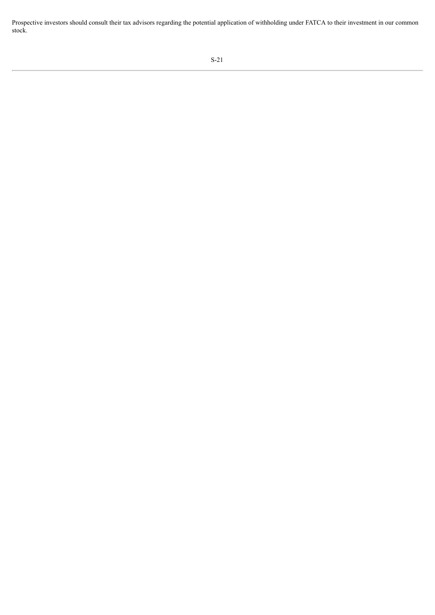Prospective investors should consult their tax advisors regarding the potential application of withholding under FATCA to their investment in our common stock.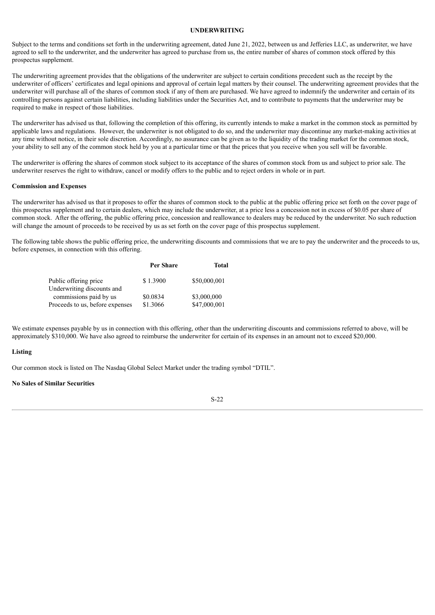#### **UNDERWRITING**

<span id="page-22-0"></span>Subject to the terms and conditions set forth in the underwriting agreement, dated June 21, 2022, between us and Jefferies LLC, as underwriter, we have agreed to sell to the underwriter, and the underwriter has agreed to purchase from us, the entire number of shares of common stock offered by this prospectus supplement.

The underwriting agreement provides that the obligations of the underwriter are subject to certain conditions precedent such as the receipt by the underwriter of officers' certificates and legal opinions and approval of certain legal matters by their counsel. The underwriting agreement provides that the underwriter will purchase all of the shares of common stock if any of them are purchased. We have agreed to indemnify the underwriter and certain of its controlling persons against certain liabilities, including liabilities under the Securities Act, and to contribute to payments that the underwriter may be required to make in respect of those liabilities.

The underwriter has advised us that, following the completion of this offering, its currently intends to make a market in the common stock as permitted by applicable laws and regulations. However, the underwriter is not obligated to do so, and the underwriter may discontinue any market-making activities at any time without notice, in their sole discretion. Accordingly, no assurance can be given as to the liquidity of the trading market for the common stock, your ability to sell any of the common stock held by you at a particular time or that the prices that you receive when you sell will be favorable.

The underwriter is offering the shares of common stock subject to its acceptance of the shares of common stock from us and subject to prior sale. The underwriter reserves the right to withdraw, cancel or modify offers to the public and to reject orders in whole or in part.

#### **Commission and Expenses**

The underwriter has advised us that it proposes to offer the shares of common stock to the public at the public offering price set forth on the cover page of this prospectus supplement and to certain dealers, which may include the underwriter, at a price less a concession not in excess of \$0.05 per share of common stock. After the offering, the public offering price, concession and reallowance to dealers may be reduced by the underwriter. No such reduction will change the amount of proceeds to be received by us as set forth on the cover page of this prospectus supplement.

The following table shows the public offering price, the underwriting discounts and commissions that we are to pay the underwriter and the proceeds to us, before expenses, in connection with this offering.

|                                 | <b>Per Share</b> | Total        |
|---------------------------------|------------------|--------------|
| Public offering price           | \$1.3900         | \$50,000,001 |
| Underwriting discounts and      |                  |              |
| commissions paid by us          | \$0.0834         | \$3,000,000  |
| Proceeds to us, before expenses | \$1.3066         | \$47,000,001 |

We estimate expenses payable by us in connection with this offering, other than the underwriting discounts and commissions referred to above, will be approximately \$310,000. We have also agreed to reimburse the underwriter for certain of its expenses in an amount not to exceed \$20,000.

## **Listing**

Our common stock is listed on The Nasdaq Global Select Market under the trading symbol "DTIL".

## **No Sales of Similar Securities**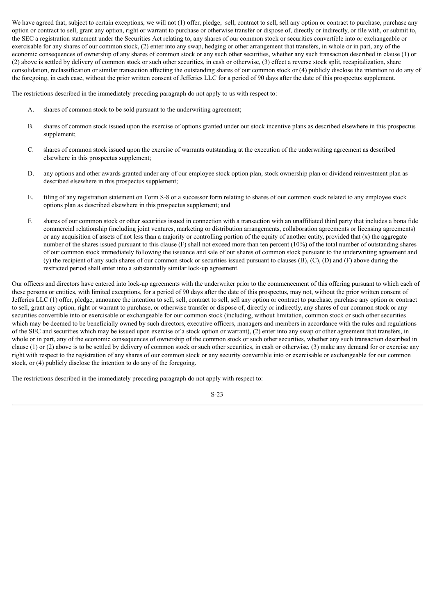We have agreed that, subject to certain exceptions, we will not (1) offer, pledge, sell, contract to sell, sell any option or contract to purchase, purchase any option or contract to sell, grant any option, right or warrant to purchase or otherwise transfer or dispose of, directly or indirectly, or file with, or submit to, the SEC a registration statement under the Securities Act relating to, any shares of our common stock or securities convertible into or exchangeable or exercisable for any shares of our common stock, (2) enter into any swap, hedging or other arrangement that transfers, in whole or in part, any of the economic consequences of ownership of any shares of common stock or any such other securities, whether any such transaction described in clause (1) or (2) above is settled by delivery of common stock or such other securities, in cash or otherwise, (3) effect a reverse stock split, recapitalization, share consolidation, reclassification or similar transaction affecting the outstanding shares of our common stock or (4) publicly disclose the intention to do any of the foregoing, in each case, without the prior written consent of Jefferies LLC for a period of 90 days after the date of this prospectus supplement.

The restrictions described in the immediately preceding paragraph do not apply to us with respect to:

- A. shares of common stock to be sold pursuant to the underwriting agreement;
- B. shares of common stock issued upon the exercise of options granted under our stock incentive plans as described elsewhere in this prospectus supplement;
- C. shares of common stock issued upon the exercise of warrants outstanding at the execution of the underwriting agreement as described elsewhere in this prospectus supplement;
- D. any options and other awards granted under any of our employee stock option plan, stock ownership plan or dividend reinvestment plan as described elsewhere in this prospectus supplement;
- E. filing of any registration statement on Form S-8 or a successor form relating to shares of our common stock related to any employee stock options plan as described elsewhere in this prospectus supplement; and
- F. shares of our common stock or other securities issued in connection with a transaction with an unaffiliated third party that includes a bona fide commercial relationship (including joint ventures, marketing or distribution arrangements, collaboration agreements or licensing agreements) or any acquisition of assets of not less than a majority or controlling portion of the equity of another entity, provided that (x) the aggregate number of the shares issued pursuant to this clause (F) shall not exceed more than ten percent (10%) of the total number of outstanding shares of our common stock immediately following the issuance and sale of our shares of common stock pursuant to the underwriting agreement and (y) the recipient of any such shares of our common stock or securities issued pursuant to clauses (B), (C), (D) and (F) above during the restricted period shall enter into a substantially similar lock-up agreement.

Our officers and directors have entered into lock-up agreements with the underwriter prior to the commencement of this offering pursuant to which each of these persons or entities, with limited exceptions, for a period of 90 days after the date of this prospectus, may not, without the prior written consent of Jefferies LLC (1) offer, pledge, announce the intention to sell, sell, contract to sell, sell any option or contract to purchase, purchase any option or contract to sell, grant any option, right or warrant to purchase, or otherwise transfer or dispose of, directly or indirectly, any shares of our common stock or any securities convertible into or exercisable or exchangeable for our common stock (including, without limitation, common stock or such other securities which may be deemed to be beneficially owned by such directors, executive officers, managers and members in accordance with the rules and regulations of the SEC and securities which may be issued upon exercise of a stock option or warrant), (2) enter into any swap or other agreement that transfers, in whole or in part, any of the economic consequences of ownership of the common stock or such other securities, whether any such transaction described in clause (1) or (2) above is to be settled by delivery of common stock or such other securities, in cash or otherwise, (3) make any demand for or exercise any right with respect to the registration of any shares of our common stock or any security convertible into or exercisable or exchangeable for our common stock, or (4) publicly disclose the intention to do any of the foregoing.

The restrictions described in the immediately preceding paragraph do not apply with respect to: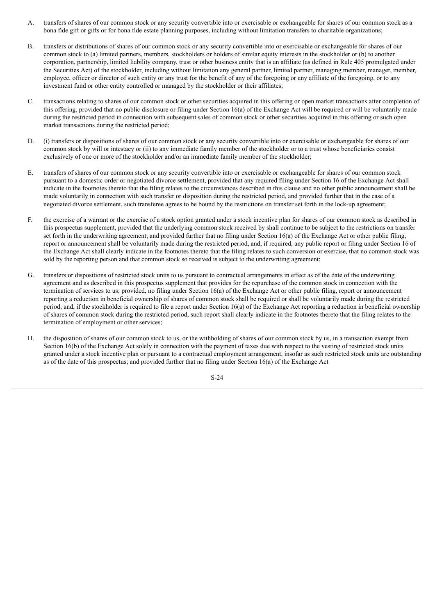- A. transfers of shares of our common stock or any security convertible into or exercisable or exchangeable for shares of our common stock as a bona fide gift or gifts or for bona fide estate planning purposes, including without limitation transfers to charitable organizations;
- B. transfers or distributions of shares of our common stock or any security convertible into or exercisable or exchangeable for shares of our common stock to (a) limited partners, members, stockholders or holders of similar equity interests in the stockholder or (b) to another corporation, partnership, limited liability company, trust or other business entity that is an affiliate (as defined in Rule 405 promulgated under the Securities Act) of the stockholder, including without limitation any general partner, limited partner, managing member, manager, member, employee, officer or director of such entity or any trust for the benefit of any of the foregoing or any affiliate of the foregoing, or to any investment fund or other entity controlled or managed by the stockholder or their affiliates;
- C. transactions relating to shares of our common stock or other securities acquired in this offering or open market transactions after completion of this offering, provided that no public disclosure or filing under Section 16(a) of the Exchange Act will be required or will be voluntarily made during the restricted period in connection with subsequent sales of common stock or other securities acquired in this offering or such open market transactions during the restricted period;
- D. (i) transfers or dispositions of shares of our common stock or any security convertible into or exercisable or exchangeable for shares of our common stock by will or intestacy or (ii) to any immediate family member of the stockholder or to a trust whose beneficiaries consist exclusively of one or more of the stockholder and/or an immediate family member of the stockholder;
- E. transfers of shares of our common stock or any security convertible into or exercisable or exchangeable for shares of our common stock pursuant to a domestic order or negotiated divorce settlement, provided that any required filing under Section 16 of the Exchange Act shall indicate in the footnotes thereto that the filing relates to the circumstances described in this clause and no other public announcement shall be made voluntarily in connection with such transfer or disposition during the restricted period, and provided further that in the case of a negotiated divorce settlement, such transferee agrees to be bound by the restrictions on transfer set forth in the lock-up agreement;
- F. the exercise of a warrant or the exercise of a stock option granted under a stock incentive plan for shares of our common stock as described in this prospectus supplement, provided that the underlying common stock received by shall continue to be subject to the restrictions on transfer set forth in the underwriting agreement; and provided further that no filing under Section 16(a) of the Exchange Act or other public filing, report or announcement shall be voluntarily made during the restricted period, and, if required, any public report or filing under Section 16 of the Exchange Act shall clearly indicate in the footnotes thereto that the filing relates to such conversion or exercise, that no common stock was sold by the reporting person and that common stock so received is subject to the underwriting agreement;
- G. transfers or dispositions of restricted stock units to us pursuant to contractual arrangements in effect as of the date of the underwriting agreement and as described in this prospectus supplement that provides for the repurchase of the common stock in connection with the termination of services to us; provided, no filing under Section 16(a) of the Exchange Act or other public filing, report or announcement reporting a reduction in beneficial ownership of shares of common stock shall be required or shall be voluntarily made during the restricted period, and, if the stockholder is required to file a report under Section 16(a) of the Exchange Act reporting a reduction in beneficial ownership of shares of common stock during the restricted period, such report shall clearly indicate in the footnotes thereto that the filing relates to the termination of employment or other services;
- H. the disposition of shares of our common stock to us, or the withholding of shares of our common stock by us, in a transaction exempt from Section 16(b) of the Exchange Act solely in connection with the payment of taxes due with respect to the vesting of restricted stock units granted under a stock incentive plan or pursuant to a contractual employment arrangement, insofar as such restricted stock units are outstanding as of the date of this prospectus; and provided further that no filing under Section 16(a) of the Exchange Act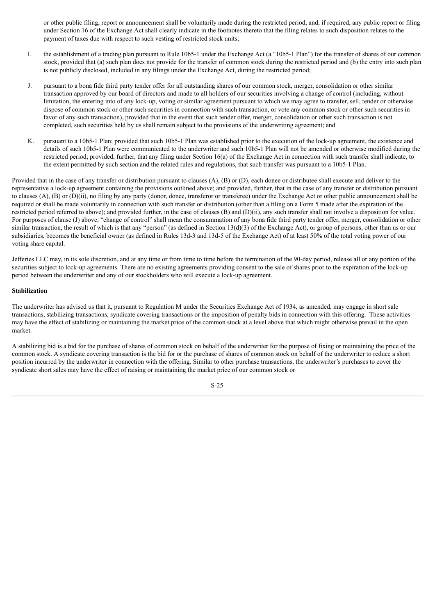or other public filing, report or announcement shall be voluntarily made during the restricted period, and, if required, any public report or filing under Section 16 of the Exchange Act shall clearly indicate in the footnotes thereto that the filing relates to such disposition relates to the payment of taxes due with respect to such vesting of restricted stock units;

- I. the establishment of a trading plan pursuant to Rule 10b5-1 under the Exchange Act (a "10b5-1 Plan") for the transfer of shares of our common stock, provided that (a) such plan does not provide for the transfer of common stock during the restricted period and (b) the entry into such plan is not publicly disclosed, included in any filings under the Exchange Act, during the restricted period;
- J. pursuant to a bona fide third party tender offer for all outstanding shares of our common stock, merger, consolidation or other similar transaction approved by our board of directors and made to all holders of our securities involving a change of control (including, without limitation, the entering into of any lock-up, voting or similar agreement pursuant to which we may agree to transfer, sell, tender or otherwise dispose of common stock or other such securities in connection with such transaction, or vote any common stock or other such securities in favor of any such transaction), provided that in the event that such tender offer, merger, consolidation or other such transaction is not completed, such securities held by us shall remain subject to the provisions of the underwriting agreement; and
- K. pursuant to a 10b5-1 Plan; provided that such 10b5-1 Plan was established prior to the execution of the lock-up agreement, the existence and details of such 10b5-1 Plan were communicated to the underwriter and such 10b5-1 Plan will not be amended or otherwise modified during the restricted period; provided, further, that any filing under Section 16(a) of the Exchange Act in connection with such transfer shall indicate, to the extent permitted by such section and the related rules and regulations, that such transfer was pursuant to a 10b5-1 Plan.

Provided that in the case of any transfer or distribution pursuant to clauses (A), (B) or (D), each donee or distributee shall execute and deliver to the representative a lock-up agreement containing the provisions outlined above; and provided, further, that in the case of any transfer or distribution pursuant to clauses (A), (B) or (D)(ii), no filing by any party (donor, donee, transferor or transferee) under the Exchange Act or other public announcement shall be required or shall be made voluntarily in connection with such transfer or distribution (other than a filing on a Form 5 made after the expiration of the restricted period referred to above); and provided further, in the case of clauses (B) and (D)(ii), any such transfer shall not involve a disposition for value. For purposes of clause (J) above, "change of control" shall mean the consummation of any bona fide third party tender offer, merger, consolidation or other similar transaction, the result of which is that any "person" (as defined in Section  $13(d)(3)$  of the Exchange Act), or group of persons, other than us or our subsidiaries, becomes the beneficial owner (as defined in Rules 13d-3 and 13d-5 of the Exchange Act) of at least 50% of the total voting power of our voting share capital.

Jefferies LLC may, in its sole discretion, and at any time or from time to time before the termination of the 90-day period, release all or any portion of the securities subject to lock-up agreements. There are no existing agreements providing consent to the sale of shares prior to the expiration of the lock-up period between the underwriter and any of our stockholders who will execute a lock-up agreement.

## **Stabilization**

The underwriter has advised us that it, pursuant to Regulation M under the Securities Exchange Act of 1934, as amended, may engage in short sale transactions, stabilizing transactions, syndicate covering transactions or the imposition of penalty bids in connection with this offering. These activities may have the effect of stabilizing or maintaining the market price of the common stock at a level above that which might otherwise prevail in the open market.

A stabilizing bid is a bid for the purchase of shares of common stock on behalf of the underwriter for the purpose of fixing or maintaining the price of the common stock. A syndicate covering transaction is the bid for or the purchase of shares of common stock on behalf of the underwriter to reduce a short position incurred by the underwriter in connection with the offering. Similar to other purchase transactions, the underwriter's purchases to cover the syndicate short sales may have the effect of raising or maintaining the market price of our common stock or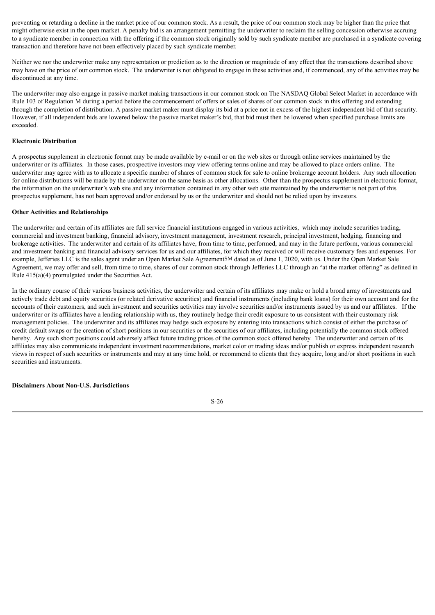preventing or retarding a decline in the market price of our common stock. As a result, the price of our common stock may be higher than the price that might otherwise exist in the open market. A penalty bid is an arrangement permitting the underwriter to reclaim the selling concession otherwise accruing to a syndicate member in connection with the offering if the common stock originally sold by such syndicate member are purchased in a syndicate covering transaction and therefore have not been effectively placed by such syndicate member.

Neither we nor the underwriter make any representation or prediction as to the direction or magnitude of any effect that the transactions described above may have on the price of our common stock. The underwriter is not obligated to engage in these activities and, if commenced, any of the activities may be discontinued at any time.

The underwriter may also engage in passive market making transactions in our common stock on The NASDAQ Global Select Market in accordance with Rule 103 of Regulation M during a period before the commencement of offers or sales of shares of our common stock in this offering and extending through the completion of distribution. A passive market maker must display its bid at a price not in excess of the highest independent bid of that security. However, if all independent bids are lowered below the passive market maker's bid, that bid must then be lowered when specified purchase limits are exceeded.

### **Electronic Distribution**

A prospectus supplement in electronic format may be made available by e-mail or on the web sites or through online services maintained by the underwriter or its affiliates. In those cases, prospective investors may view offering terms online and may be allowed to place orders online. The underwriter may agree with us to allocate a specific number of shares of common stock for sale to online brokerage account holders. Any such allocation for online distributions will be made by the underwriter on the same basis as other allocations. Other than the prospectus supplement in electronic format, the information on the underwriter's web site and any information contained in any other web site maintained by the underwriter is not part of this prospectus supplement, has not been approved and/or endorsed by us or the underwriter and should not be relied upon by investors.

#### **Other Activities and Relationships**

The underwriter and certain of its affiliates are full service financial institutions engaged in various activities, which may include securities trading, commercial and investment banking, financial advisory, investment management, investment research, principal investment, hedging, financing and brokerage activities. The underwriter and certain of its affiliates have, from time to time, performed, and may in the future perform, various commercial and investment banking and financial advisory services for us and our affiliates, for which they received or will receive customary fees and expenses. For example, Jefferies LLC is the sales agent under an Open Market Sale AgreementSM dated as of June 1, 2020, with us. Under the Open Market Sale Agreement, we may offer and sell, from time to time, shares of our common stock through Jefferies LLC through an "at the market offering" as defined in Rule 415(a)(4) promulgated under the Securities Act.

In the ordinary course of their various business activities, the underwriter and certain of its affiliates may make or hold a broad array of investments and actively trade debt and equity securities (or related derivative securities) and financial instruments (including bank loans) for their own account and for the accounts of their customers, and such investment and securities activities may involve securities and/or instruments issued by us and our affiliates. If the underwriter or its affiliates have a lending relationship with us, they routinely hedge their credit exposure to us consistent with their customary risk management policies. The underwriter and its affiliates may hedge such exposure by entering into transactions which consist of either the purchase of credit default swaps or the creation of short positions in our securities or the securities of our affiliates, including potentially the common stock offered hereby. Any such short positions could adversely affect future trading prices of the common stock offered hereby. The underwriter and certain of its affiliates may also communicate independent investment recommendations, market color or trading ideas and/or publish or express independent research views in respect of such securities or instruments and may at any time hold, or recommend to clients that they acquire, long and/or short positions in such securities and instruments.

#### **Disclaimers About Non-U.S. Jurisdictions**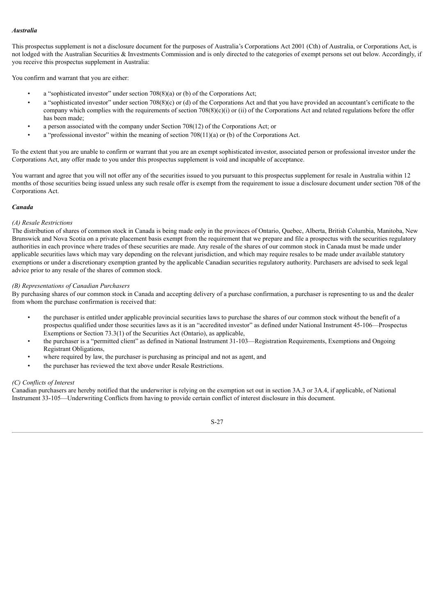## *Australia*

This prospectus supplement is not a disclosure document for the purposes of Australia's Corporations Act 2001 (Cth) of Australia, or Corporations Act, is not lodged with the Australian Securities & Investments Commission and is only directed to the categories of exempt persons set out below. Accordingly, if you receive this prospectus supplement in Australia:

You confirm and warrant that you are either:

- a "sophisticated investor" under section 708(8)(a) or (b) of the Corporations Act;
- a "sophisticated investor" under section 708(8)(c) or (d) of the Corporations Act and that you have provided an accountant's certificate to the company which complies with the requirements of section  $708(8)(c)(i)$  or (ii) of the Corporations Act and related regulations before the offer has been made;
- a person associated with the company under Section 708(12) of the Corporations Act; or
- a "professional investor" within the meaning of section 708(11)(a) or (b) of the Corporations Act.

To the extent that you are unable to confirm or warrant that you are an exempt sophisticated investor, associated person or professional investor under the Corporations Act, any offer made to you under this prospectus supplement is void and incapable of acceptance.

You warrant and agree that you will not offer any of the securities issued to you pursuant to this prospectus supplement for resale in Australia within 12 months of those securities being issued unless any such resale offer is exempt from the requirement to issue a disclosure document under section 708 of the Corporations Act.

## *Canada*

## *(A) Resale Restrictions*

The distribution of shares of common stock in Canada is being made only in the provinces of Ontario, Quebec, Alberta, British Columbia, Manitoba, New Brunswick and Nova Scotia on a private placement basis exempt from the requirement that we prepare and file a prospectus with the securities regulatory authorities in each province where trades of these securities are made. Any resale of the shares of our common stock in Canada must be made under applicable securities laws which may vary depending on the relevant jurisdiction, and which may require resales to be made under available statutory exemptions or under a discretionary exemption granted by the applicable Canadian securities regulatory authority. Purchasers are advised to seek legal advice prior to any resale of the shares of common stock.

## *(B) Representations of Canadian Purchasers*

By purchasing shares of our common stock in Canada and accepting delivery of a purchase confirmation, a purchaser is representing to us and the dealer from whom the purchase confirmation is received that:

- the purchaser is entitled under applicable provincial securities laws to purchase the shares of our common stock without the benefit of a prospectus qualified under those securities laws as it is an "accredited investor" as defined under National Instrument 45-106—Prospectus Exemptions or Section 73.3(1) of the Securities Act (Ontario), as applicable,
- the purchaser is a "permitted client" as defined in National Instrument 31-103—Registration Requirements, Exemptions and Ongoing Registrant Obligations,
- where required by law, the purchaser is purchasing as principal and not as agent, and
- the purchaser has reviewed the text above under Resale Restrictions.

## *(C) Conflicts of Interest*

Canadian purchasers are hereby notified that the underwriter is relying on the exemption set out in section 3A.3 or 3A.4, if applicable, of National Instrument 33-105—Underwriting Conflicts from having to provide certain conflict of interest disclosure in this document.

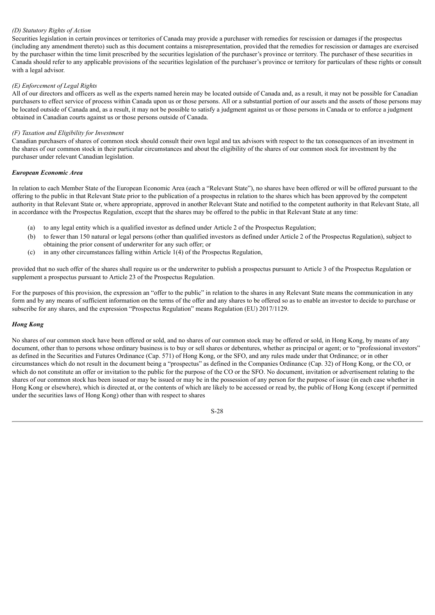## *(D) Statutory Rights of Action*

Securities legislation in certain provinces or territories of Canada may provide a purchaser with remedies for rescission or damages if the prospectus (including any amendment thereto) such as this document contains a misrepresentation, provided that the remedies for rescission or damages are exercised by the purchaser within the time limit prescribed by the securities legislation of the purchaser's province or territory. The purchaser of these securities in Canada should refer to any applicable provisions of the securities legislation of the purchaser's province or territory for particulars of these rights or consult with a legal advisor.

## *(E) Enforcement of Legal Rights*

All of our directors and officers as well as the experts named herein may be located outside of Canada and, as a result, it may not be possible for Canadian purchasers to effect service of process within Canada upon us or those persons. All or a substantial portion of our assets and the assets of those persons may be located outside of Canada and, as a result, it may not be possible to satisfy a judgment against us or those persons in Canada or to enforce a judgment obtained in Canadian courts against us or those persons outside of Canada.

### *(F) Taxation and Eligibility for Investment*

Canadian purchasers of shares of common stock should consult their own legal and tax advisors with respect to the tax consequences of an investment in the shares of our common stock in their particular circumstances and about the eligibility of the shares of our common stock for investment by the purchaser under relevant Canadian legislation.

#### *European Economic Area*

In relation to each Member State of the European Economic Area (each a "Relevant State"), no shares have been offered or will be offered pursuant to the offering to the public in that Relevant State prior to the publication of a prospectus in relation to the shares which has been approved by the competent authority in that Relevant State or, where appropriate, approved in another Relevant State and notified to the competent authority in that Relevant State, all in accordance with the Prospectus Regulation, except that the shares may be offered to the public in that Relevant State at any time:

- (a) to any legal entity which is a qualified investor as defined under Article 2 of the Prospectus Regulation;
- (b) to fewer than 150 natural or legal persons (other than qualified investors as defined under Article 2 of the Prospectus Regulation), subject to
- obtaining the prior consent of underwriter for any such offer; or
- (c) in any other circumstances falling within Article 1(4) of the Prospectus Regulation,

provided that no such offer of the shares shall require us or the underwriter to publish a prospectus pursuant to Article 3 of the Prospectus Regulation or supplement a prospectus pursuant to Article 23 of the Prospectus Regulation.

For the purposes of this provision, the expression an "offer to the public" in relation to the shares in any Relevant State means the communication in any form and by any means of sufficient information on the terms of the offer and any shares to be offered so as to enable an investor to decide to purchase or subscribe for any shares, and the expression "Prospectus Regulation" means Regulation (EU) 2017/1129.

## *Hong Kong*

No shares of our common stock have been offered or sold, and no shares of our common stock may be offered or sold, in Hong Kong, by means of any document, other than to persons whose ordinary business is to buy or sell shares or debentures, whether as principal or agent; or to "professional investors" as defined in the Securities and Futures Ordinance (Cap. 571) of Hong Kong, or the SFO, and any rules made under that Ordinance; or in other circumstances which do not result in the document being a "prospectus" as defined in the Companies Ordinance (Cap. 32) of Hong Kong, or the CO, or which do not constitute an offer or invitation to the public for the purpose of the CO or the SFO. No document, invitation or advertisement relating to the shares of our common stock has been issued or may be issued or may be in the possession of any person for the purpose of issue (in each case whether in Hong Kong or elsewhere), which is directed at, or the contents of which are likely to be accessed or read by, the public of Hong Kong (except if permitted under the securities laws of Hong Kong) other than with respect to shares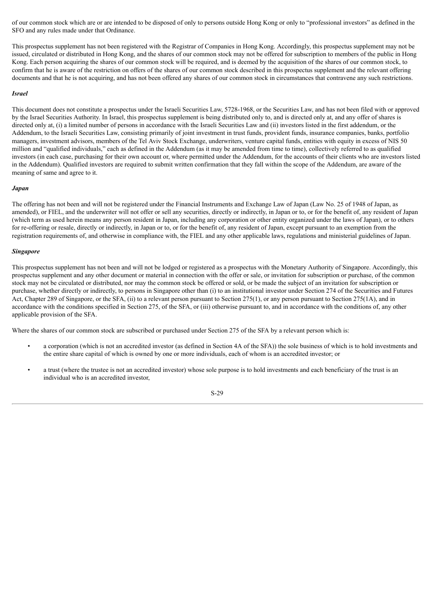of our common stock which are or are intended to be disposed of only to persons outside Hong Kong or only to "professional investors" as defined in the SFO and any rules made under that Ordinance.

This prospectus supplement has not been registered with the Registrar of Companies in Hong Kong. Accordingly, this prospectus supplement may not be issued, circulated or distributed in Hong Kong, and the shares of our common stock may not be offered for subscription to members of the public in Hong Kong. Each person acquiring the shares of our common stock will be required, and is deemed by the acquisition of the shares of our common stock, to confirm that he is aware of the restriction on offers of the shares of our common stock described in this prospectus supplement and the relevant offering documents and that he is not acquiring, and has not been offered any shares of our common stock in circumstances that contravene any such restrictions.

#### *Israel*

This document does not constitute a prospectus under the Israeli Securities Law, 5728-1968, or the Securities Law, and has not been filed with or approved by the Israel Securities Authority. In Israel, this prospectus supplement is being distributed only to, and is directed only at, and any offer of shares is directed only at, (i) a limited number of persons in accordance with the Israeli Securities Law and (ii) investors listed in the first addendum, or the Addendum, to the Israeli Securities Law, consisting primarily of joint investment in trust funds, provident funds, insurance companies, banks, portfolio managers, investment advisors, members of the Tel Aviv Stock Exchange, underwriters, venture capital funds, entities with equity in excess of NIS 50 million and "qualified individuals," each as defined in the Addendum (as it may be amended from time to time), collectively referred to as qualified investors (in each case, purchasing for their own account or, where permitted under the Addendum, for the accounts of their clients who are investors listed in the Addendum). Qualified investors are required to submit written confirmation that they fall within the scope of the Addendum, are aware of the meaning of same and agree to it.

#### *Japan*

The offering has not been and will not be registered under the Financial Instruments and Exchange Law of Japan (Law No. 25 of 1948 of Japan, as amended), or FIEL, and the underwriter will not offer or sell any securities, directly or indirectly, in Japan or to, or for the benefit of, any resident of Japan (which term as used herein means any person resident in Japan, including any corporation or other entity organized under the laws of Japan), or to others for re-offering or resale, directly or indirectly, in Japan or to, or for the benefit of, any resident of Japan, except pursuant to an exemption from the registration requirements of, and otherwise in compliance with, the FIEL and any other applicable laws, regulations and ministerial guidelines of Japan.

#### *Singapore*

This prospectus supplement has not been and will not be lodged or registered as a prospectus with the Monetary Authority of Singapore. Accordingly, this prospectus supplement and any other document or material in connection with the offer or sale, or invitation for subscription or purchase, of the common stock may not be circulated or distributed, nor may the common stock be offered or sold, or be made the subject of an invitation for subscription or purchase, whether directly or indirectly, to persons in Singapore other than (i) to an institutional investor under Section 274 of the Securities and Futures Act, Chapter 289 of Singapore, or the SFA, (ii) to a relevant person pursuant to Section 275(1), or any person pursuant to Section 275(1A), and in accordance with the conditions specified in Section 275, of the SFA, or (iii) otherwise pursuant to, and in accordance with the conditions of, any other applicable provision of the SFA.

Where the shares of our common stock are subscribed or purchased under Section 275 of the SFA by a relevant person which is:

- a corporation (which is not an accredited investor (as defined in Section 4A of the SFA)) the sole business of which is to hold investments and the entire share capital of which is owned by one or more individuals, each of whom is an accredited investor; or
- a trust (where the trustee is not an accredited investor) whose sole purpose is to hold investments and each beneficiary of the trust is an individual who is an accredited investor,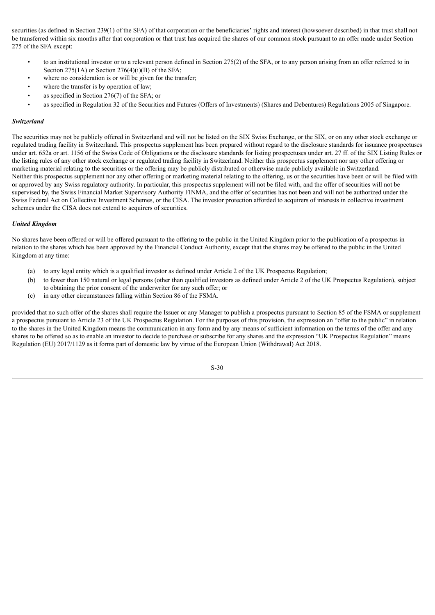securities (as defined in Section 239(1) of the SFA) of that corporation or the beneficiaries' rights and interest (howsoever described) in that trust shall not be transferred within six months after that corporation or that trust has acquired the shares of our common stock pursuant to an offer made under Section 275 of the SFA except:

- to an institutional investor or to a relevant person defined in Section 275(2) of the SFA, or to any person arising from an offer referred to in Section 275(1A) or Section 276(4)(i)(B) of the SFA;
- where no consideration is or will be given for the transfer;
- where the transfer is by operation of law:
- as specified in Section 276(7) of the SFA; or
- as specified in Regulation 32 of the Securities and Futures (Offers of Investments) (Shares and Debentures) Regulations 2005 of Singapore.

## *Switzerland*

The securities may not be publicly offered in Switzerland and will not be listed on the SIX Swiss Exchange, or the SIX, or on any other stock exchange or regulated trading facility in Switzerland. This prospectus supplement has been prepared without regard to the disclosure standards for issuance prospectuses under art. 652a or art. 1156 of the Swiss Code of Obligations or the disclosure standards for listing prospectuses under art. 27 ff. of the SIX Listing Rules or the listing rules of any other stock exchange or regulated trading facility in Switzerland. Neither this prospectus supplement nor any other offering or marketing material relating to the securities or the offering may be publicly distributed or otherwise made publicly available in Switzerland. Neither this prospectus supplement nor any other offering or marketing material relating to the offering, us or the securities have been or will be filed with or approved by any Swiss regulatory authority. In particular, this prospectus supplement will not be filed with, and the offer of securities will not be supervised by, the Swiss Financial Market Supervisory Authority FINMA, and the offer of securities has not been and will not be authorized under the Swiss Federal Act on Collective Investment Schemes, or the CISA. The investor protection afforded to acquirers of interests in collective investment schemes under the CISA does not extend to acquirers of securities.

#### *United Kingdom*

No shares have been offered or will be offered pursuant to the offering to the public in the United Kingdom prior to the publication of a prospectus in relation to the shares which has been approved by the Financial Conduct Authority, except that the shares may be offered to the public in the United Kingdom at any time:

- (a) to any legal entity which is a qualified investor as defined under Article 2 of the UK Prospectus Regulation;
- (b) to fewer than 150 natural or legal persons (other than qualified investors as defined under Article 2 of the UK Prospectus Regulation), subject to obtaining the prior consent of the underwriter for any such offer; or
- (c) in any other circumstances falling within Section 86 of the FSMA.

provided that no such offer of the shares shall require the Issuer or any Manager to publish a prospectus pursuant to Section 85 of the FSMA or supplement a prospectus pursuant to Article 23 of the UK Prospectus Regulation. For the purposes of this provision, the expression an "offer to the public" in relation to the shares in the United Kingdom means the communication in any form and by any means of sufficient information on the terms of the offer and any shares to be offered so as to enable an investor to decide to purchase or subscribe for any shares and the expression "UK Prospectus Regulation" means Regulation (EU) 2017/1129 as it forms part of domestic law by virtue of the European Union (Withdrawal) Act 2018.

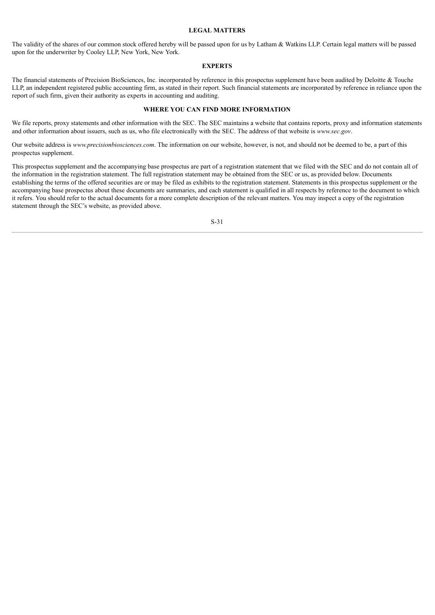#### **LEGAL MATTERS**

<span id="page-31-0"></span>The validity of the shares of our common stock offered hereby will be passed upon for us by Latham & Watkins LLP. Certain legal matters will be passed upon for the underwriter by Cooley LLP, New York, New York.

#### **EXPERTS**

<span id="page-31-1"></span>The financial statements of Precision BioSciences, Inc. incorporated by reference in this prospectus supplement have been audited by Deloitte & Touche LLP, an independent registered public accounting firm, as stated in their report. Such financial statements are incorporated by reference in reliance upon the report of such firm, given their authority as experts in accounting and auditing.

## **WHERE YOU CAN FIND MORE INFORMATION**

<span id="page-31-2"></span>We file reports, proxy statements and other information with the SEC. The SEC maintains a website that contains reports, proxy and information statements and other information about issuers, such as us, who file electronically with the SEC. The address of that website is *www.sec.gov*.

Our website address is *www.precisionbiosciences.com*. The information on our website, however, is not, and should not be deemed to be, a part of this prospectus supplement.

This prospectus supplement and the accompanying base prospectus are part of a registration statement that we filed with the SEC and do not contain all of the information in the registration statement. The full registration statement may be obtained from the SEC or us, as provided below. Documents establishing the terms of the offered securities are or may be filed as exhibits to the registration statement. Statements in this prospectus supplement or the accompanying base prospectus about these documents are summaries, and each statement is qualified in all respects by reference to the document to which it refers. You should refer to the actual documents for a more complete description of the relevant matters. You may inspect a copy of the registration statement through the SEC's website, as provided above.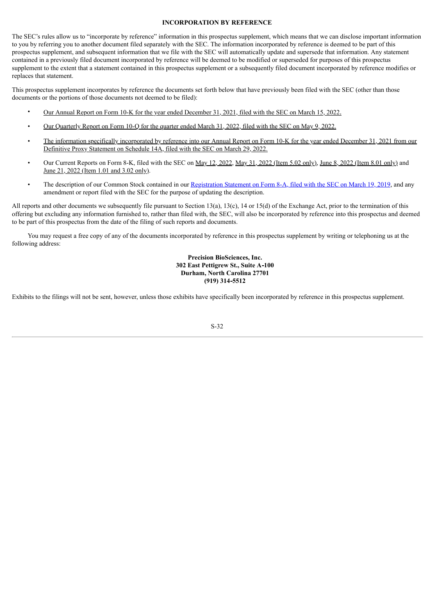## **INCORPORATION BY REFERENCE**

<span id="page-32-0"></span>The SEC's rules allow us to "incorporate by reference" information in this prospectus supplement, which means that we can disclose important information to you by referring you to another document filed separately with the SEC. The information incorporated by reference is deemed to be part of this prospectus supplement, and subsequent information that we file with the SEC will automatically update and supersede that information. Any statement contained in a previously filed document incorporated by reference will be deemed to be modified or superseded for purposes of this prospectus supplement to the extent that a statement contained in this prospectus supplement or a subsequently filed document incorporated by reference modifies or replaces that statement.

This prospectus supplement incorporates by reference the documents set forth below that have previously been filed with the SEC (other than those documents or the portions of those documents not deemed to be filed):

- Our Annual Report on Form 10-K for the year ended [December](https://www.sec.gov/ix?doc=/Archives/edgar/data/1357874/000156459022010222/dtil-10k_20211231.htm) 31, 2021, filed with the SEC on March 15, 2022.
- Our [Quarterly](https://www.sec.gov/ix?doc=/Archives/edgar/data/1357874/000156459022018698/dtil-10q_20220331.htm) Report on Form 10-Q for the quarter ended March 31, 2022, filed with the SEC on May 9, 2022.
- The information specifically [incorporated](http://www.sec.gov/Archives/edgar/data/1357874/000114036122011648/ny20001945x1_def14a.htm) by reference into our Annual Report on Form 10-K for the year ended December 31, 2021 from our Definitive Proxy Statement on Schedule 14A, filed with the SEC on March 29, 2022.
- Our Current Reports on Form 8-K, filed with the SEC on May 12, [2022](https://www.sec.gov/ix?doc=/Archives/edgar/data/0001357874/000156459022019668/dtil-8k_20220510.htm), May 31, 2022 (Item 5.02 [only\),](https://www.sec.gov/ix?doc=/Archives/edgar/data/0001357874/000156459022021763/dtil-8k_20220531.htm) June 8, 2022 [\(Item](https://www.sec.gov/ix?doc=/Archives/edgar/data/0001357874/000156459022022723/dtil-8k_20220608.htm) 8.01 only) and June 21, 2022 [\(Item](https://www.sec.gov/ix?doc=/Archives/edgar/data/1357874/000156459022023780/dtil-8k_20220614.htm) 1.01 and 3.02 only).
- The description of our Common Stock contained in our [Registration](http://www.sec.gov/Archives/edgar/data/1357874/000119312519079674/d717633d8a12b.htm) Statement on Form 8-A, filed with the SEC on March 19, 2019, and any amendment or report filed with the SEC for the purpose of updating the description.

All reports and other documents we subsequently file pursuant to Section 13(a), 13(c), 14 or 15(d) of the Exchange Act, prior to the termination of this offering but excluding any information furnished to, rather than filed with, the SEC, will also be incorporated by reference into this prospectus and deemed to be part of this prospectus from the date of the filing of such reports and documents.

You may request a free copy of any of the documents incorporated by reference in this prospectus supplement by writing or telephoning us at the following address:

## **Precision BioSciences, Inc. 302 East Pettigrew St., Suite A**‑**100 Durham, North Carolina 27701 (919) 314**‑**5512**

Exhibits to the filings will not be sent, however, unless those exhibits have specifically been incorporated by reference in this prospectus supplement.

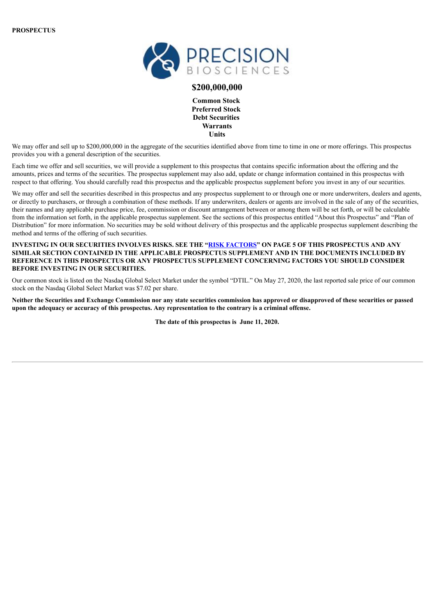

## **\$200,000,000**

**Common Stock Preferred Stock Debt Securities Warrants Units**

We may offer and sell up to \$200,000,000 in the aggregate of the securities identified above from time to time in one or more offerings. This prospectus provides you with a general description of the securities.

Each time we offer and sell securities, we will provide a supplement to this prospectus that contains specific information about the offering and the amounts, prices and terms of the securities. The prospectus supplement may also add, update or change information contained in this prospectus with respect to that offering. You should carefully read this prospectus and the applicable prospectus supplement before you invest in any of our securities.

We may offer and sell the securities described in this prospectus and any prospectus supplement to or through one or more underwriters, dealers and agents, or directly to purchasers, or through a combination of these methods. If any underwriters, dealers or agents are involved in the sale of any of the securities, their names and any applicable purchase price, fee, commission or discount arrangement between or among them will be set forth, or will be calculable from the information set forth, in the applicable prospectus supplement. See the sections of this prospectus entitled "About this Prospectus" and "Plan of Distribution" for more information. No securities may be sold without delivery of this prospectus and the applicable prospectus supplement describing the method and terms of the offering of such securities.

## INVESTING IN OUR SECURITIES INVOLVES RISKS. SEE THE "RISK [FACTORS](#page-8-0)" ON PAGE 5 OF THIS PROSPECTUS AND ANY **SIMILAR SECTION CONTAINED IN THE APPLICABLE PROSPECTUS SUPPLEMENT AND IN THE DOCUMENTS INCLUDED BY REFERENCE IN THIS PROSPECTUS OR ANY PROSPECTUS SUPPLEMENT CONCERNING FACTORS YOU SHOULD CONSIDER BEFORE INVESTING IN OUR SECURITIES.**

Our common stock is listed on the Nasdaq Global Select Market under the symbol "DTIL." On May 27, 2020, the last reported sale price of our common stock on the Nasdaq Global Select Market was \$7.02 per share.

Neither the Securities and Exchange Commission nor any state securities commission has approved or disapproved of these securities or passed upon the adequacy or accuracy of this prospectus. Any representation to the contrary is a criminal offense.

**The date of this prospectus is June 11, 2020.**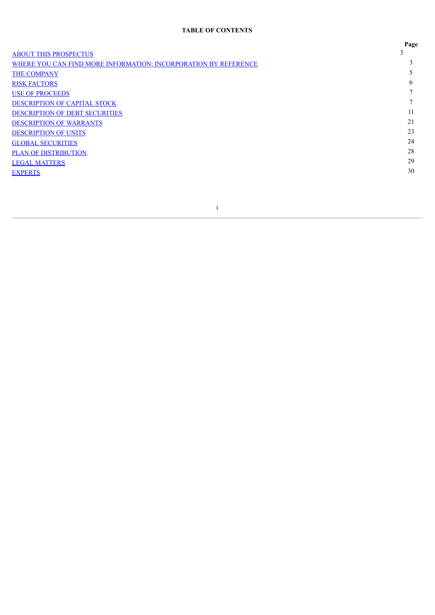## **TABLE OF CONTENTS**

|                                                                 | Page |
|-----------------------------------------------------------------|------|
| <b>ABOUT THIS PROSPECTUS</b>                                    |      |
| WHERE YOU CAN FIND MORE INFORMATION; INCORPORATION BY REFERENCE |      |
| THE COMPANY                                                     |      |
| <b>RISK FACTORS</b>                                             | h.   |
| <b>USE OF PROCEEDS</b>                                          |      |
| DESCRIPTION OF CAPITAL STOCK                                    |      |
| <b>DESCRIPTION OF DEBT SECURITIES</b>                           | 11   |
| <b>DESCRIPTION OF WARRANTS</b>                                  | 21   |
| <b>DESCRIPTION OF UNITS</b>                                     | 23   |
| <b>GLOBAL SECURITIES</b>                                        | 24   |
| <b>PLAN OF DISTRIBUTION</b>                                     | 28   |
| <b>LEGAL MATTERS</b>                                            | 29   |
| <b>EXPERTS</b>                                                  | 30   |
|                                                                 |      |

i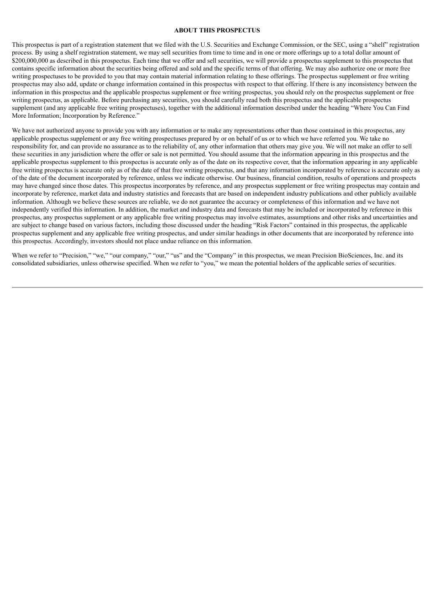#### **ABOUT THIS PROSPECTUS**

<span id="page-35-0"></span>This prospectus is part of a registration statement that we filed with the U.S. Securities and Exchange Commission, or the SEC, using a "shelf" registration process. By using a shelf registration statement, we may sell securities from time to time and in one or more offerings up to a total dollar amount of \$200,000,000 as described in this prospectus. Each time that we offer and sell securities, we will provide a prospectus supplement to this prospectus that contains specific information about the securities being offered and sold and the specific terms of that offering. We may also authorize one or more free writing prospectuses to be provided to you that may contain material information relating to these offerings. The prospectus supplement or free writing prospectus may also add, update or change information contained in this prospectus with respect to that offering. If there is any inconsistency between the information in this prospectus and the applicable prospectus supplement or free writing prospectus, you should rely on the prospectus supplement or free writing prospectus, as applicable. Before purchasing any securities, you should carefully read both this prospectus and the applicable prospectus supplement (and any applicable free writing prospectuses), together with the additional information described under the heading "Where You Can Find More Information; Incorporation by Reference."

We have not authorized anyone to provide you with any information or to make any representations other than those contained in this prospectus, any applicable prospectus supplement or any free writing prospectuses prepared by or on behalf of us or to which we have referred you. We take no responsibility for, and can provide no assurance as to the reliability of, any other information that others may give you. We will not make an offer to sell these securities in any jurisdiction where the offer or sale is not permitted. You should assume that the information appearing in this prospectus and the applicable prospectus supplement to this prospectus is accurate only as of the date on its respective cover, that the information appearing in any applicable free writing prospectus is accurate only as of the date of that free writing prospectus, and that any information incorporated by reference is accurate only as of the date of the document incorporated by reference, unless we indicate otherwise. Our business, financial condition, results of operations and prospects may have changed since those dates. This prospectus incorporates by reference, and any prospectus supplement or free writing prospectus may contain and incorporate by reference, market data and industry statistics and forecasts that are based on independent industry publications and other publicly available information. Although we believe these sources are reliable, we do not guarantee the accuracy or completeness of this information and we have not independently verified this information. In addition, the market and industry data and forecasts that may be included or incorporated by reference in this prospectus, any prospectus supplement or any applicable free writing prospectus may involve estimates, assumptions and other risks and uncertainties and are subject to change based on various factors, including those discussed under the heading "Risk Factors" contained in this prospectus, the applicable prospectus supplement and any applicable free writing prospectus, and under similar headings in other documents that are incorporated by reference into this prospectus. Accordingly, investors should not place undue reliance on this information.

When we refer to "Precision," "we," "our company," "our," "us" and the "Company" in this prospectus, we mean Precision BioSciences, Inc. and its consolidated subsidiaries, unless otherwise specified. When we refer to "you," we mean the potential holders of the applicable series of securities.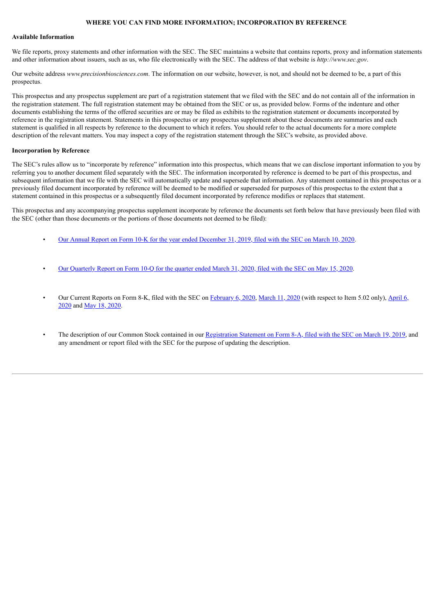## **WHERE YOU CAN FIND MORE INFORMATION; INCORPORATION BY REFERENCE**

#### <span id="page-36-0"></span>**Available Information**

We file reports, proxy statements and other information with the SEC. The SEC maintains a website that contains reports, proxy and information statements and other information about issuers, such as us, who file electronically with the SEC. The address of that website is *http://www.sec.gov*.

Our website address *www.precisionbiosciences.com*. The information on our website, however, is not, and should not be deemed to be, a part of this prospectus.

This prospectus and any prospectus supplement are part of a registration statement that we filed with the SEC and do not contain all of the information in the registration statement. The full registration statement may be obtained from the SEC or us, as provided below. Forms of the indenture and other documents establishing the terms of the offered securities are or may be filed as exhibits to the registration statement or documents incorporated by reference in the registration statement. Statements in this prospectus or any prospectus supplement about these documents are summaries and each statement is qualified in all respects by reference to the document to which it refers. You should refer to the actual documents for a more complete description of the relevant matters. You may inspect a copy of the registration statement through the SEC's website, as provided above.

## **Incorporation by Reference**

The SEC's rules allow us to "incorporate by reference" information into this prospectus, which means that we can disclose important information to you by referring you to another document filed separately with the SEC. The information incorporated by reference is deemed to be part of this prospectus, and subsequent information that we file with the SEC will automatically update and supersede that information. Any statement contained in this prospectus or a previously filed document incorporated by reference will be deemed to be modified or superseded for purposes of this prospectus to the extent that a statement contained in this prospectus or a subsequently filed document incorporated by reference modifies or replaces that statement.

This prospectus and any accompanying prospectus supplement incorporate by reference the documents set forth below that have previously been filed with the SEC (other than those documents or the portions of those documents not deemed to be filed):

- Our Annual Report on Form 10-K for the year ended [December](http://www.sec.gov/Archives/edgar/data/1357874/000156459020009541/dtil-10k_20191231.htm) 31, 2019, filed with the SEC on March 10, 2020.
- Our [Quarterly](http://www.sec.gov/Archives/edgar/data/1357874/000156459020025635/dtil-10q_20200331.htm) Report on Form 10-Q for the quarter ended March 31, 2020, filed with the SEC on May 15, 2020.
- Our Current Reports on [F](http://www.sec.gov/Archives/edgar/data/1357874/000156459020015378/dtil-8k_20200406.htm)orm 8-K, filed with the SEC on F[ebruary](http://www.sec.gov/Archives/edgar/data/1357874/000156459020003581/dtil-8k_20200131.htm) 6, 2020, [March](http://www.sec.gov/Archives/edgar/data/1357874/000156459020009873/dtil-8k_20200310.htm) 11, 2020 (with respect to Item 5.02 only), April 6, 2020 and May 18, [2020.](http://www.sec.gov/Archives/edgar/data/1357874/000156459020026010/dtil-8k_20200513.htm)
- The description of our Common Stock contained in our [Registration](http://www.sec.gov/Archives/edgar/data/1357874/000119312519079674/d717633d8a12b.htm) Statement on Form 8-A, filed with the SEC on March 19, 2019, and any amendment or report filed with the SEC for the purpose of updating the description.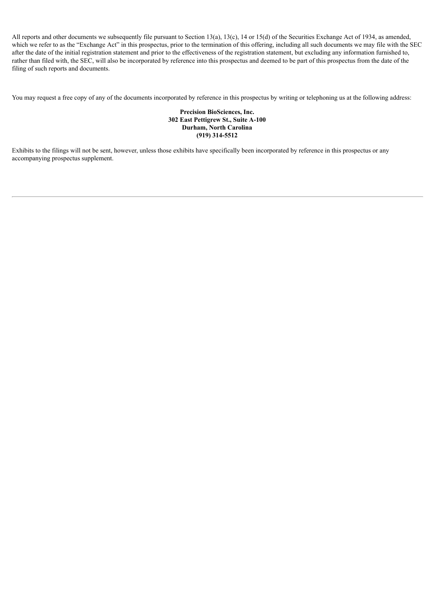All reports and other documents we subsequently file pursuant to Section 13(a), 13(c), 14 or 15(d) of the Securities Exchange Act of 1934, as amended, which we refer to as the "Exchange Act" in this prospectus, prior to the termination of this offering, including all such documents we may file with the SEC after the date of the initial registration statement and prior to the effectiveness of the registration statement, but excluding any information furnished to, rather than filed with, the SEC, will also be incorporated by reference into this prospectus and deemed to be part of this prospectus from the date of the filing of such reports and documents.

You may request a free copy of any of the documents incorporated by reference in this prospectus by writing or telephoning us at the following address:

## **Precision BioSciences, Inc. 302 East Pettigrew St., Suite A-100 Durham, North Carolina (919) 314-5512**

Exhibits to the filings will not be sent, however, unless those exhibits have specifically been incorporated by reference in this prospectus or any accompanying prospectus supplement.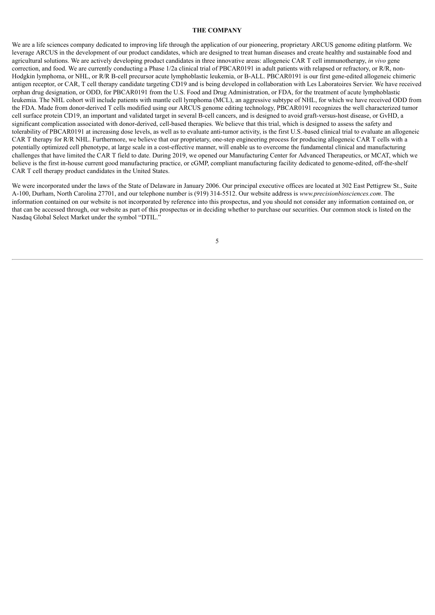#### **THE COMPANY**

<span id="page-38-0"></span>We are a life sciences company dedicated to improving life through the application of our pioneering, proprietary ARCUS genome editing platform. We leverage ARCUS in the development of our product candidates, which are designed to treat human diseases and create healthy and sustainable food and agricultural solutions. We are actively developing product candidates in three innovative areas: allogeneic CAR T cell immunotherapy, *in vivo* gene correction, and food. We are currently conducting a Phase 1/2a clinical trial of PBCAR0191 in adult patients with relapsed or refractory, or R/R, non-Hodgkin lymphoma, or NHL, or R/R B-cell precursor acute lymphoblastic leukemia, or B-ALL. PBCAR0191 is our first gene-edited allogeneic chimeric antigen receptor, or CAR, T cell therapy candidate targeting CD19 and is being developed in collaboration with Les Laboratoires Servier. We have received orphan drug designation, or ODD, for PBCAR0191 from the U.S. Food and Drug Administration, or FDA, for the treatment of acute lymphoblastic leukemia. The NHL cohort will include patients with mantle cell lymphoma (MCL), an aggressive subtype of NHL, for which we have received ODD from the FDA. Made from donor-derived T cells modified using our ARCUS genome editing technology, PBCAR0191 recognizes the well characterized tumor cell surface protein CD19, an important and validated target in several B-cell cancers, and is designed to avoid graft-versus-host disease, or GvHD, a significant complication associated with donor-derived, cell-based therapies. We believe that this trial, which is designed to assess the safety and tolerability of PBCAR0191 at increasing dose levels, as well as to evaluate anti-tumor activity, is the first U.S.-based clinical trial to evaluate an allogeneic CAR T therapy for R/R NHL. Furthermore, we believe that our proprietary, one-step engineering process for producing allogeneic CAR T cells with a potentially optimized cell phenotype, at large scale in a cost-effective manner, will enable us to overcome the fundamental clinical and manufacturing challenges that have limited the CAR T field to date. During 2019, we opened our Manufacturing Center for Advanced Therapeutics, or MCAT, which we believe is the first in-house current good manufacturing practice, or cGMP, compliant manufacturing facility dedicated to genome-edited, off-the-shelf CAR T cell therapy product candidates in the United States.

We were incorporated under the laws of the State of Delaware in January 2006. Our principal executive offices are located at 302 East Pettigrew St., Suite A-100, Durham, North Carolina 27701, and our telephone number is (919) 314-5512. Our website address is *www.precisionbiosciences.com*. The information contained on our website is not incorporated by reference into this prospectus, and you should not consider any information contained on, or that can be accessed through, our website as part of this prospectus or in deciding whether to purchase our securities. Our common stock is listed on the Nasdaq Global Select Market under the symbol "DTIL."

5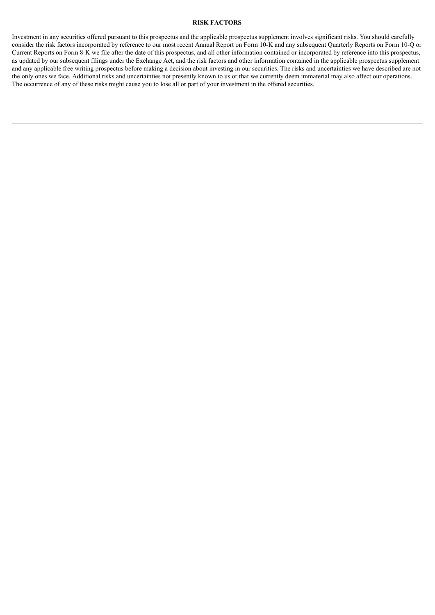## **RISK FACTORS**

<span id="page-39-0"></span>Investment in any securities offered pursuant to this prospectus and the applicable prospectus supplement involves significant risks. You should carefully consider the risk factors incorporated by reference to our most recent Annual Report on Form 10-K and any subsequent Quarterly Reports on Form 10-Q or Current Reports on Form 8-K we file after the date of this prospectus, and all other information contained or incorporated by reference into this prospectus, as updated by our subsequent filings under the Exchange Act, and the risk factors and other information contained in the applicable prospectus supplement and any applicable free writing prospectus before making a decision about investing in our securities. The risks and uncertainties we have described are not the only ones we face. Additional risks and uncertainties not presently known to us or that we currently deem immaterial may also affect our operations. The occurrence of any of these risks might cause you to lose all or part of your investment in the offered securities.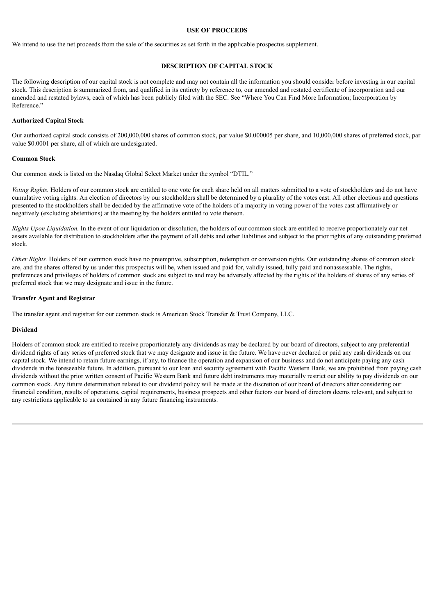#### **USE OF PROCEEDS**

<span id="page-40-0"></span>We intend to use the net proceeds from the sale of the securities as set forth in the applicable prospectus supplement.

## **DESCRIPTION OF CAPITAL STOCK**

<span id="page-40-1"></span>The following description of our capital stock is not complete and may not contain all the information you should consider before investing in our capital stock. This description is summarized from, and qualified in its entirety by reference to, our amended and restated certificate of incorporation and our amended and restated bylaws, each of which has been publicly filed with the SEC. See "Where You Can Find More Information; Incorporation by Reference."

## **Authorized Capital Stock**

Our authorized capital stock consists of 200,000,000 shares of common stock, par value \$0.000005 per share, and 10,000,000 shares of preferred stock, par value \$0.0001 per share, all of which are undesignated.

## **Common Stock**

Our common stock is listed on the Nasdaq Global Select Market under the symbol "DTIL."

*Voting Rights.* Holders of our common stock are entitled to one vote for each share held on all matters submitted to a vote of stockholders and do not have cumulative voting rights. An election of directors by our stockholders shall be determined by a plurality of the votes cast. All other elections and questions presented to the stockholders shall be decided by the affirmative vote of the holders of a majority in voting power of the votes cast affirmatively or negatively (excluding abstentions) at the meeting by the holders entitled to vote thereon.

*Rights Upon Liquidation.* In the event of our liquidation or dissolution, the holders of our common stock are entitled to receive proportionately our net assets available for distribution to stockholders after the payment of all debts and other liabilities and subject to the prior rights of any outstanding preferred stock.

*Other Rights.* Holders of our common stock have no preemptive, subscription, redemption or conversion rights. Our outstanding shares of common stock are, and the shares offered by us under this prospectus will be, when issued and paid for, validly issued, fully paid and nonassessable. The rights, preferences and privileges of holders of common stock are subject to and may be adversely affected by the rights of the holders of shares of any series of preferred stock that we may designate and issue in the future.

## **Transfer Agent and Registrar**

The transfer agent and registrar for our common stock is American Stock Transfer & Trust Company, LLC.

## **Dividend**

Holders of common stock are entitled to receive proportionately any dividends as may be declared by our board of directors, subject to any preferential dividend rights of any series of preferred stock that we may designate and issue in the future. We have never declared or paid any cash dividends on our capital stock. We intend to retain future earnings, if any, to finance the operation and expansion of our business and do not anticipate paying any cash dividends in the foreseeable future. In addition, pursuant to our loan and security agreement with Pacific Western Bank, we are prohibited from paying cash dividends without the prior written consent of Pacific Western Bank and future debt instruments may materially restrict our ability to pay dividends on our common stock. Any future determination related to our dividend policy will be made at the discretion of our board of directors after considering our financial condition, results of operations, capital requirements, business prospects and other factors our board of directors deems relevant, and subject to any restrictions applicable to us contained in any future financing instruments.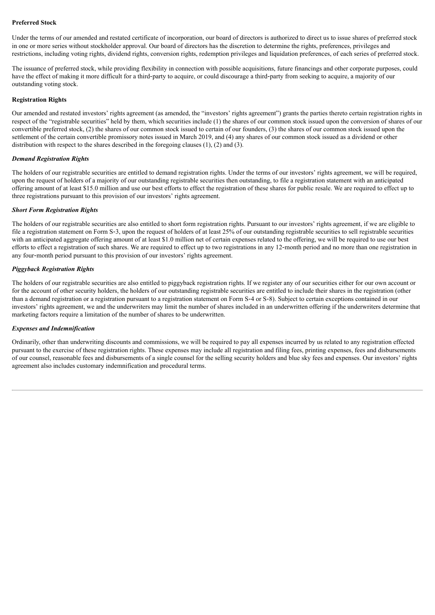## **Preferred Stock**

Under the terms of our amended and restated certificate of incorporation, our board of directors is authorized to direct us to issue shares of preferred stock in one or more series without stockholder approval. Our board of directors has the discretion to determine the rights, preferences, privileges and restrictions, including voting rights, dividend rights, conversion rights, redemption privileges and liquidation preferences, of each series of preferred stock.

The issuance of preferred stock, while providing flexibility in connection with possible acquisitions, future financings and other corporate purposes, could have the effect of making it more difficult for a third-party to acquire, or could discourage a third-party from seeking to acquire, a majority of our outstanding voting stock.

## **Registration Rights**

Our amended and restated investors' rights agreement (as amended, the "investors' rights agreement") grants the parties thereto certain registration rights in respect of the "registrable securities" held by them, which securities include (1) the shares of our common stock issued upon the conversion of shares of our convertible preferred stock, (2) the shares of our common stock issued to certain of our founders, (3) the shares of our common stock issued upon the settlement of the certain convertible promissory notes issued in March 2019, and (4) any shares of our common stock issued as a dividend or other distribution with respect to the shares described in the foregoing clauses (1), (2) and (3).

## *Demand Registration Rights*

The holders of our registrable securities are entitled to demand registration rights. Under the terms of our investors' rights agreement, we will be required, upon the request of holders of a majority of our outstanding registrable securities then outstanding, to file a registration statement with an anticipated offering amount of at least \$15.0 million and use our best efforts to effect the registration of these shares for public resale. We are required to effect up to three registrations pursuant to this provision of our investors' rights agreement.

## *Short Form Registration Rights*

The holders of our registrable securities are also entitled to short form registration rights. Pursuant to our investors' rights agreement, if we are eligible to file a registration statement on Form S‑3, upon the request of holders of at least 25% of our outstanding registrable securities to sell registrable securities with an anticipated aggregate offering amount of at least \$1.0 million net of certain expenses related to the offering, we will be required to use our best efforts to effect a registration of such shares. We are required to effect up to two registrations in any 12‑month period and no more than one registration in any four‑month period pursuant to this provision of our investors' rights agreement.

## *Piggyback Registration Rights*

The holders of our registrable securities are also entitled to piggyback registration rights. If we register any of our securities either for our own account or for the account of other security holders, the holders of our outstanding registrable securities are entitled to include their shares in the registration (other than a demand registration or a registration pursuant to a registration statement on Form S‑4 or S‑8). Subject to certain exceptions contained in our investors' rights agreement, we and the underwriters may limit the number of shares included in an underwritten offering if the underwriters determine that marketing factors require a limitation of the number of shares to be underwritten.

## *Expenses and Indemnification*

Ordinarily, other than underwriting discounts and commissions, we will be required to pay all expenses incurred by us related to any registration effected pursuant to the exercise of these registration rights. These expenses may include all registration and filing fees, printing expenses, fees and disbursements of our counsel, reasonable fees and disbursements of a single counsel for the selling security holders and blue sky fees and expenses. Our investors' rights agreement also includes customary indemnification and procedural terms.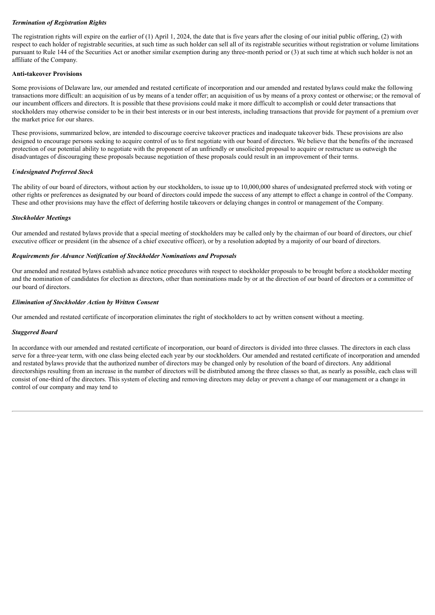## *Termination of Registration Rights*

The registration rights will expire on the earlier of (1) April 1, 2024, the date that is five years after the closing of our initial public offering, (2) with respect to each holder of registrable securities, at such time as such holder can sell all of its registrable securities without registration or volume limitations pursuant to Rule 144 of the Securities Act or another similar exemption during any three-month period or (3) at such time at which such holder is not an affiliate of the Company.

## **Anti**‑**takeover Provisions**

Some provisions of Delaware law, our amended and restated certificate of incorporation and our amended and restated bylaws could make the following transactions more difficult: an acquisition of us by means of a tender offer; an acquisition of us by means of a proxy contest or otherwise; or the removal of our incumbent officers and directors. It is possible that these provisions could make it more difficult to accomplish or could deter transactions that stockholders may otherwise consider to be in their best interests or in our best interests, including transactions that provide for payment of a premium over the market price for our shares.

These provisions, summarized below, are intended to discourage coercive takeover practices and inadequate takeover bids. These provisions are also designed to encourage persons seeking to acquire control of us to first negotiate with our board of directors. We believe that the benefits of the increased protection of our potential ability to negotiate with the proponent of an unfriendly or unsolicited proposal to acquire or restructure us outweigh the disadvantages of discouraging these proposals because negotiation of these proposals could result in an improvement of their terms.

## *Undesignated Preferred Stock*

The ability of our board of directors, without action by our stockholders, to issue up to 10,000,000 shares of undesignated preferred stock with voting or other rights or preferences as designated by our board of directors could impede the success of any attempt to effect a change in control of the Company. These and other provisions may have the effect of deferring hostile takeovers or delaying changes in control or management of the Company.

## *Stockholder Meetings*

Our amended and restated bylaws provide that a special meeting of stockholders may be called only by the chairman of our board of directors, our chief executive officer or president (in the absence of a chief executive officer), or by a resolution adopted by a majority of our board of directors.

## *Requirements for Advance Notification of Stockholder Nominations and Proposals*

Our amended and restated bylaws establish advance notice procedures with respect to stockholder proposals to be brought before a stockholder meeting and the nomination of candidates for election as directors, other than nominations made by or at the direction of our board of directors or a committee of our board of directors.

## *Elimination of Stockholder Action by Written Consent*

Our amended and restated certificate of incorporation eliminates the right of stockholders to act by written consent without a meeting.

## *Staggered Board*

In accordance with our amended and restated certificate of incorporation, our board of directors is divided into three classes. The directors in each class serve for a three-year term, with one class being elected each year by our stockholders. Our amended and restated certificate of incorporation and amended and restated bylaws provide that the authorized number of directors may be changed only by resolution of the board of directors. Any additional directorships resulting from an increase in the number of directors will be distributed among the three classes so that, as nearly as possible, each class will consist of one‑third of the directors. This system of electing and removing directors may delay or prevent a change of our management or a change in control of our company and may tend to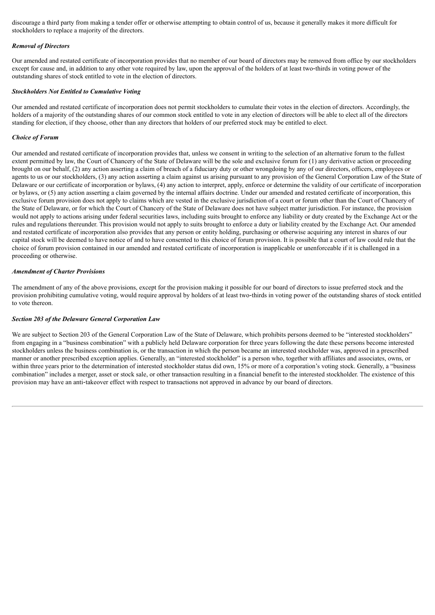discourage a third party from making a tender offer or otherwise attempting to obtain control of us, because it generally makes it more difficult for stockholders to replace a majority of the directors.

## *Removal of Directors*

Our amended and restated certificate of incorporation provides that no member of our board of directors may be removed from office by our stockholders except for cause and, in addition to any other vote required by law, upon the approval of the holders of at least two-thirds in voting power of the outstanding shares of stock entitled to vote in the election of directors.

## *Stockholders Not Entitled to Cumulative Voting*

Our amended and restated certificate of incorporation does not permit stockholders to cumulate their votes in the election of directors. Accordingly, the holders of a majority of the outstanding shares of our common stock entitled to vote in any election of directors will be able to elect all of the directors standing for election, if they choose, other than any directors that holders of our preferred stock may be entitled to elect.

## *Choice of Forum*

Our amended and restated certificate of incorporation provides that, unless we consent in writing to the selection of an alternative forum to the fullest extent permitted by law, the Court of Chancery of the State of Delaware will be the sole and exclusive forum for (1) any derivative action or proceeding brought on our behalf, (2) any action asserting a claim of breach of a fiduciary duty or other wrongdoing by any of our directors, officers, employees or agents to us or our stockholders, (3) any action asserting a claim against us arising pursuant to any provision of the General Corporation Law of the State of Delaware or our certificate of incorporation or bylaws, (4) any action to interpret, apply, enforce or determine the validity of our certificate of incorporation or bylaws, or (5) any action asserting a claim governed by the internal affairs doctrine. Under our amended and restated certificate of incorporation, this exclusive forum provision does not apply to claims which are vested in the exclusive jurisdiction of a court or forum other than the Court of Chancery of the State of Delaware, or for which the Court of Chancery of the State of Delaware does not have subject matter jurisdiction. For instance, the provision would not apply to actions arising under federal securities laws, including suits brought to enforce any liability or duty created by the Exchange Act or the rules and regulations thereunder. This provision would not apply to suits brought to enforce a duty or liability created by the Exchange Act. Our amended and restated certificate of incorporation also provides that any person or entity holding, purchasing or otherwise acquiring any interest in shares of our capital stock will be deemed to have notice of and to have consented to this choice of forum provision. It is possible that a court of law could rule that the choice of forum provision contained in our amended and restated certificate of incorporation is inapplicable or unenforceable if it is challenged in a proceeding or otherwise.

## *Amendment of Charter Provisions*

The amendment of any of the above provisions, except for the provision making it possible for our board of directors to issue preferred stock and the provision prohibiting cumulative voting, would require approval by holders of at least two-thirds in voting power of the outstanding shares of stock entitled to vote thereon.

## *Section 203 of the Delaware General Corporation Law*

We are subject to Section 203 of the General Corporation Law of the State of Delaware, which prohibits persons deemed to be "interested stockholders" from engaging in a "business combination" with a publicly held Delaware corporation for three years following the date these persons become interested stockholders unless the business combination is, or the transaction in which the person became an interested stockholder was, approved in a prescribed manner or another prescribed exception applies. Generally, an "interested stockholder" is a person who, together with affiliates and associates, owns, or within three years prior to the determination of interested stockholder status did own, 15% or more of a corporation's voting stock. Generally, a "business" combination" includes a merger, asset or stock sale, or other transaction resulting in a financial benefit to the interested stockholder. The existence of this provision may have an anti-takeover effect with respect to transactions not approved in advance by our board of directors.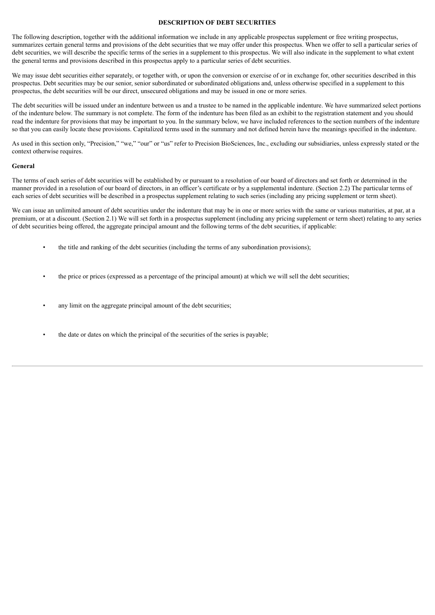## **DESCRIPTION OF DEBT SECURITIES**

<span id="page-44-0"></span>The following description, together with the additional information we include in any applicable prospectus supplement or free writing prospectus, summarizes certain general terms and provisions of the debt securities that we may offer under this prospectus. When we offer to sell a particular series of debt securities, we will describe the specific terms of the series in a supplement to this prospectus. We will also indicate in the supplement to what extent the general terms and provisions described in this prospectus apply to a particular series of debt securities.

We may issue debt securities either separately, or together with, or upon the conversion or exercise of or in exchange for, other securities described in this prospectus. Debt securities may be our senior, senior subordinated or subordinated obligations and, unless otherwise specified in a supplement to this prospectus, the debt securities will be our direct, unsecured obligations and may be issued in one or more series.

The debt securities will be issued under an indenture between us and a trustee to be named in the applicable indenture. We have summarized select portions of the indenture below. The summary is not complete. The form of the indenture has been filed as an exhibit to the registration statement and you should read the indenture for provisions that may be important to you. In the summary below, we have included references to the section numbers of the indenture so that you can easily locate these provisions. Capitalized terms used in the summary and not defined herein have the meanings specified in the indenture.

As used in this section only, "Precision," "we," "our" or "us" refer to Precision BioSciences, Inc., excluding our subsidiaries, unless expressly stated or the context otherwise requires.

## **General**

The terms of each series of debt securities will be established by or pursuant to a resolution of our board of directors and set forth or determined in the manner provided in a resolution of our board of directors, in an officer's certificate or by a supplemental indenture. (Section 2.2) The particular terms of each series of debt securities will be described in a prospectus supplement relating to such series (including any pricing supplement or term sheet).

We can issue an unlimited amount of debt securities under the indenture that may be in one or more series with the same or various maturities, at par, at a premium, or at a discount. (Section 2.1) We will set forth in a prospectus supplement (including any pricing supplement or term sheet) relating to any series of debt securities being offered, the aggregate principal amount and the following terms of the debt securities, if applicable:

- the title and ranking of the debt securities (including the terms of any subordination provisions);
- the price or prices (expressed as a percentage of the principal amount) at which we will sell the debt securities;
- any limit on the aggregate principal amount of the debt securities;
- the date or dates on which the principal of the securities of the series is payable;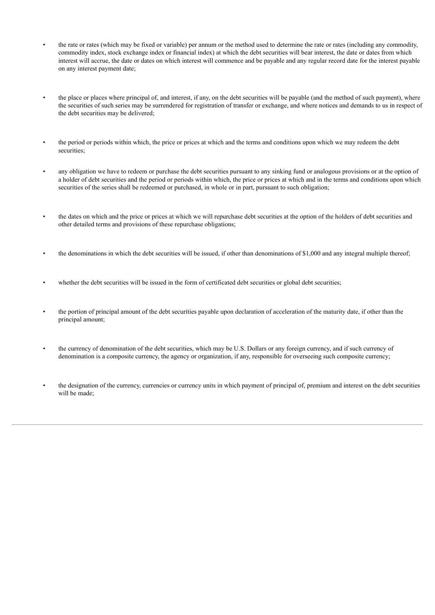- the rate or rates (which may be fixed or variable) per annum or the method used to determine the rate or rates (including any commodity, commodity index, stock exchange index or financial index) at which the debt securities will bear interest, the date or dates from which interest will accrue, the date or dates on which interest will commence and be payable and any regular record date for the interest payable on any interest payment date;
- the place or places where principal of, and interest, if any, on the debt securities will be payable (and the method of such payment), where the securities of such series may be surrendered for registration of transfer or exchange, and where notices and demands to us in respect of the debt securities may be delivered;
- the period or periods within which, the price or prices at which and the terms and conditions upon which we may redeem the debt securities;
- any obligation we have to redeem or purchase the debt securities pursuant to any sinking fund or analogous provisions or at the option of a holder of debt securities and the period or periods within which, the price or prices at which and in the terms and conditions upon which securities of the series shall be redeemed or purchased, in whole or in part, pursuant to such obligation;
- the dates on which and the price or prices at which we will repurchase debt securities at the option of the holders of debt securities and other detailed terms and provisions of these repurchase obligations;
- the denominations in which the debt securities will be issued, if other than denominations of \$1,000 and any integral multiple thereof;
- whether the debt securities will be issued in the form of certificated debt securities or global debt securities;
- the portion of principal amount of the debt securities payable upon declaration of acceleration of the maturity date, if other than the principal amount;
- the currency of denomination of the debt securities, which may be U.S. Dollars or any foreign currency, and if such currency of denomination is a composite currency, the agency or organization, if any, responsible for overseeing such composite currency;
- the designation of the currency, currencies or currency units in which payment of principal of, premium and interest on the debt securities will be made;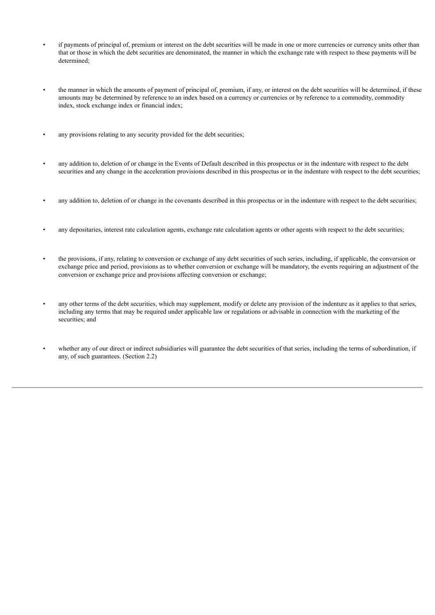- if payments of principal of, premium or interest on the debt securities will be made in one or more currencies or currency units other than that or those in which the debt securities are denominated, the manner in which the exchange rate with respect to these payments will be determined;
- the manner in which the amounts of payment of principal of, premium, if any, or interest on the debt securities will be determined, if these amounts may be determined by reference to an index based on a currency or currencies or by reference to a commodity, commodity index, stock exchange index or financial index;
- any provisions relating to any security provided for the debt securities;
- any addition to, deletion of or change in the Events of Default described in this prospectus or in the indenture with respect to the debt securities and any change in the acceleration provisions described in this prospectus or in the indenture with respect to the debt securities;
- any addition to, deletion of or change in the covenants described in this prospectus or in the indenture with respect to the debt securities;
- any depositaries, interest rate calculation agents, exchange rate calculation agents or other agents with respect to the debt securities;
- the provisions, if any, relating to conversion or exchange of any debt securities of such series, including, if applicable, the conversion or exchange price and period, provisions as to whether conversion or exchange will be mandatory, the events requiring an adjustment of the conversion or exchange price and provisions affecting conversion or exchange;
- any other terms of the debt securities, which may supplement, modify or delete any provision of the indenture as it applies to that series, including any terms that may be required under applicable law or regulations or advisable in connection with the marketing of the securities; and
- whether any of our direct or indirect subsidiaries will guarantee the debt securities of that series, including the terms of subordination, if any, of such guarantees. (Section 2.2)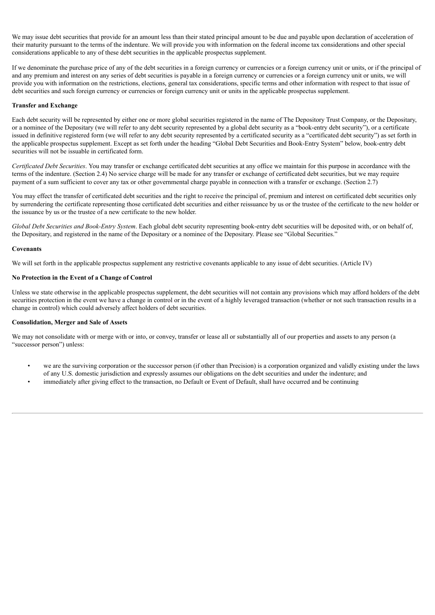We may issue debt securities that provide for an amount less than their stated principal amount to be due and payable upon declaration of acceleration of their maturity pursuant to the terms of the indenture. We will provide you with information on the federal income tax considerations and other special considerations applicable to any of these debt securities in the applicable prospectus supplement.

If we denominate the purchase price of any of the debt securities in a foreign currency or currencies or a foreign currency unit or units, or if the principal of and any premium and interest on any series of debt securities is payable in a foreign currency or currencies or a foreign currency unit or units, we will provide you with information on the restrictions, elections, general tax considerations, specific terms and other information with respect to that issue of debt securities and such foreign currency or currencies or foreign currency unit or units in the applicable prospectus supplement.

## **Transfer and Exchange**

Each debt security will be represented by either one or more global securities registered in the name of The Depository Trust Company, or the Depositary, or a nominee of the Depositary (we will refer to any debt security represented by a global debt security as a "book-entry debt security"), or a certificate issued in definitive registered form (we will refer to any debt security represented by a certificated security as a "certificated debt security") as set forth in the applicable prospectus supplement. Except as set forth under the heading "Global Debt Securities and Book-Entry System" below, book-entry debt securities will not be issuable in certificated form.

*Certificated Debt Securities*. You may transfer or exchange certificated debt securities at any office we maintain for this purpose in accordance with the terms of the indenture. (Section 2.4) No service charge will be made for any transfer or exchange of certificated debt securities, but we may require payment of a sum sufficient to cover any tax or other governmental charge payable in connection with a transfer or exchange. (Section 2.7)

You may effect the transfer of certificated debt securities and the right to receive the principal of, premium and interest on certificated debt securities only by surrendering the certificate representing those certificated debt securities and either reissuance by us or the trustee of the certificate to the new holder or the issuance by us or the trustee of a new certificate to the new holder.

*Global Debt Securities and Book-Entry System*. Each global debt security representing book-entry debt securities will be deposited with, or on behalf of, the Depositary, and registered in the name of the Depositary or a nominee of the Depositary. Please see "Global Securities."

## **Covenants**

We will set forth in the applicable prospectus supplement any restrictive covenants applicable to any issue of debt securities. (Article IV)

## **No Protection in the Event of a Change of Control**

Unless we state otherwise in the applicable prospectus supplement, the debt securities will not contain any provisions which may afford holders of the debt securities protection in the event we have a change in control or in the event of a highly leveraged transaction (whether or not such transaction results in a change in control) which could adversely affect holders of debt securities.

## **Consolidation, Merger and Sale of Assets**

We may not consolidate with or merge with or into, or convey, transfer or lease all or substantially all of our properties and assets to any person (a "successor person") unless:

- we are the surviving corporation or the successor person (if other than Precision) is a corporation organized and validly existing under the laws of any U.S. domestic jurisdiction and expressly assumes our obligations on the debt securities and under the indenture; and
- immediately after giving effect to the transaction, no Default or Event of Default, shall have occurred and be continuing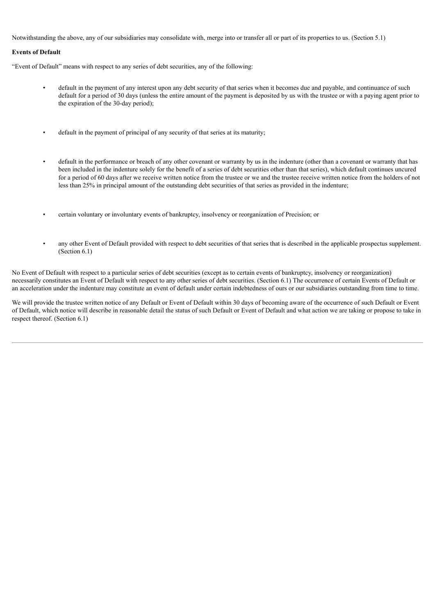Notwithstanding the above, any of our subsidiaries may consolidate with, merge into or transfer all or part of its properties to us. (Section 5.1)

## **Events of Default**

"Event of Default" means with respect to any series of debt securities, any of the following:

- default in the payment of any interest upon any debt security of that series when it becomes due and payable, and continuance of such default for a period of 30 days (unless the entire amount of the payment is deposited by us with the trustee or with a paying agent prior to the expiration of the 30-day period);
- default in the payment of principal of any security of that series at its maturity;
- default in the performance or breach of any other covenant or warranty by us in the indenture (other than a covenant or warranty that has been included in the indenture solely for the benefit of a series of debt securities other than that series), which default continues uncured for a period of 60 days after we receive written notice from the trustee or we and the trustee receive written notice from the holders of not less than 25% in principal amount of the outstanding debt securities of that series as provided in the indenture;
- certain voluntary or involuntary events of bankruptcy, insolvency or reorganization of Precision; or
- any other Event of Default provided with respect to debt securities of that series that is described in the applicable prospectus supplement. (Section 6.1)

No Event of Default with respect to a particular series of debt securities (except as to certain events of bankruptcy, insolvency or reorganization) necessarily constitutes an Event of Default with respect to any other series of debt securities. (Section 6.1) The occurrence of certain Events of Default or an acceleration under the indenture may constitute an event of default under certain indebtedness of ours or our subsidiaries outstanding from time to time.

We will provide the trustee written notice of any Default or Event of Default within 30 days of becoming aware of the occurrence of such Default or Event of Default, which notice will describe in reasonable detail the status of such Default or Event of Default and what action we are taking or propose to take in respect thereof. (Section 6.1)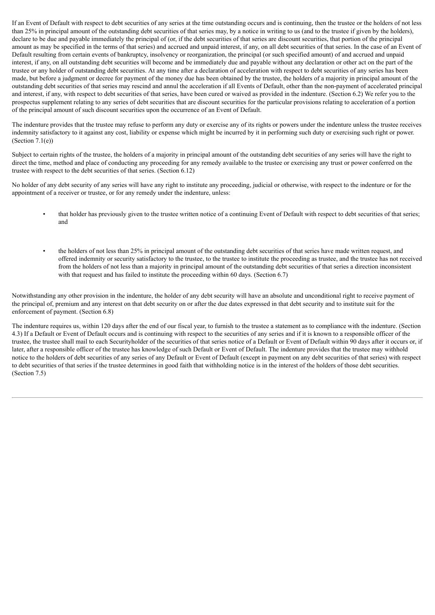If an Event of Default with respect to debt securities of any series at the time outstanding occurs and is continuing, then the trustee or the holders of not less than 25% in principal amount of the outstanding debt securities of that series may, by a notice in writing to us (and to the trustee if given by the holders), declare to be due and payable immediately the principal of (or, if the debt securities of that series are discount securities, that portion of the principal amount as may be specified in the terms of that series) and accrued and unpaid interest, if any, on all debt securities of that series. In the case of an Event of Default resulting from certain events of bankruptcy, insolvency or reorganization, the principal (or such specified amount) of and accrued and unpaid interest, if any, on all outstanding debt securities will become and be immediately due and payable without any declaration or other act on the part of the trustee or any holder of outstanding debt securities. At any time after a declaration of acceleration with respect to debt securities of any series has been made, but before a judgment or decree for payment of the money due has been obtained by the trustee, the holders of a majority in principal amount of the outstanding debt securities of that series may rescind and annul the acceleration if all Events of Default, other than the non-payment of accelerated principal and interest, if any, with respect to debt securities of that series, have been cured or waived as provided in the indenture. (Section 6.2) We refer you to the prospectus supplement relating to any series of debt securities that are discount securities for the particular provisions relating to acceleration of a portion of the principal amount of such discount securities upon the occurrence of an Event of Default.

The indenture provides that the trustee may refuse to perform any duty or exercise any of its rights or powers under the indenture unless the trustee receives indemnity satisfactory to it against any cost, liability or expense which might be incurred by it in performing such duty or exercising such right or power.  $(Section 7.1(e))$ 

Subject to certain rights of the trustee, the holders of a majority in principal amount of the outstanding debt securities of any series will have the right to direct the time, method and place of conducting any proceeding for any remedy available to the trustee or exercising any trust or power conferred on the trustee with respect to the debt securities of that series. (Section 6.12)

No holder of any debt security of any series will have any right to institute any proceeding, judicial or otherwise, with respect to the indenture or for the appointment of a receiver or trustee, or for any remedy under the indenture, unless:

- that holder has previously given to the trustee written notice of a continuing Event of Default with respect to debt securities of that series; and
- the holders of not less than 25% in principal amount of the outstanding debt securities of that series have made written request, and offered indemnity or security satisfactory to the trustee, to the trustee to institute the proceeding as trustee, and the trustee has not received from the holders of not less than a majority in principal amount of the outstanding debt securities of that series a direction inconsistent with that request and has failed to institute the proceeding within 60 days. (Section 6.7)

Notwithstanding any other provision in the indenture, the holder of any debt security will have an absolute and unconditional right to receive payment of the principal of, premium and any interest on that debt security on or after the due dates expressed in that debt security and to institute suit for the enforcement of payment. (Section 6.8)

The indenture requires us, within 120 days after the end of our fiscal year, to furnish to the trustee a statement as to compliance with the indenture. (Section 4.3) If a Default or Event of Default occurs and is continuing with respect to the securities of any series and if it is known to a responsible officer of the trustee, the trustee shall mail to each Securityholder of the securities of that series notice of a Default or Event of Default within 90 days after it occurs or, if later, after a responsible officer of the trustee has knowledge of such Default or Event of Default. The indenture provides that the trustee may withhold notice to the holders of debt securities of any series of any Default or Event of Default (except in payment on any debt securities of that series) with respect to debt securities of that series if the trustee determines in good faith that withholding notice is in the interest of the holders of those debt securities. (Section 7.5)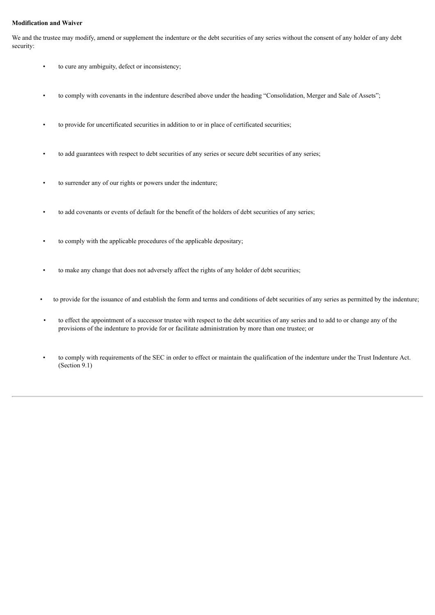## **Modification and Waiver**

We and the trustee may modify, amend or supplement the indenture or the debt securities of any series without the consent of any holder of any debt security:

- to cure any ambiguity, defect or inconsistency;
- to comply with covenants in the indenture described above under the heading "Consolidation, Merger and Sale of Assets";
- to provide for uncertificated securities in addition to or in place of certificated securities;
- to add guarantees with respect to debt securities of any series or secure debt securities of any series;
- to surrender any of our rights or powers under the indenture;
- to add covenants or events of default for the benefit of the holders of debt securities of any series;
- to comply with the applicable procedures of the applicable depositary;
- to make any change that does not adversely affect the rights of any holder of debt securities;
- to provide for the issuance of and establish the form and terms and conditions of debt securities of any series as permitted by the indenture;
- to effect the appointment of a successor trustee with respect to the debt securities of any series and to add to or change any of the provisions of the indenture to provide for or facilitate administration by more than one trustee; or
- to comply with requirements of the SEC in order to effect or maintain the qualification of the indenture under the Trust Indenture Act. (Section 9.1)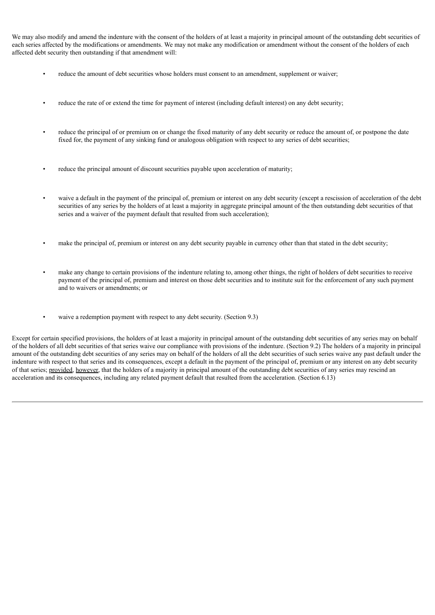We may also modify and amend the indenture with the consent of the holders of at least a majority in principal amount of the outstanding debt securities of each series affected by the modifications or amendments. We may not make any modification or amendment without the consent of the holders of each affected debt security then outstanding if that amendment will:

- reduce the amount of debt securities whose holders must consent to an amendment, supplement or waiver;
- reduce the rate of or extend the time for payment of interest (including default interest) on any debt security;
- reduce the principal of or premium on or change the fixed maturity of any debt security or reduce the amount of, or postpone the date fixed for, the payment of any sinking fund or analogous obligation with respect to any series of debt securities;
- reduce the principal amount of discount securities payable upon acceleration of maturity;
- waive a default in the payment of the principal of, premium or interest on any debt security (except a rescission of acceleration of the debt securities of any series by the holders of at least a majority in aggregate principal amount of the then outstanding debt securities of that series and a waiver of the payment default that resulted from such acceleration);
- make the principal of, premium or interest on any debt security payable in currency other than that stated in the debt security;
- make any change to certain provisions of the indenture relating to, among other things, the right of holders of debt securities to receive payment of the principal of, premium and interest on those debt securities and to institute suit for the enforcement of any such payment and to waivers or amendments; or
- waive a redemption payment with respect to any debt security. (Section 9.3)

Except for certain specified provisions, the holders of at least a majority in principal amount of the outstanding debt securities of any series may on behalf of the holders of all debt securities of that series waive our compliance with provisions of the indenture. (Section 9.2) The holders of a majority in principal amount of the outstanding debt securities of any series may on behalf of the holders of all the debt securities of such series waive any past default under the indenture with respect to that series and its consequences, except a default in the payment of the principal of, premium or any interest on any debt security of that series; provided, however, that the holders of a majority in principal amount of the outstanding debt securities of any series may rescind an acceleration and its consequences, including any related payment default that resulted from the acceleration. (Section 6.13)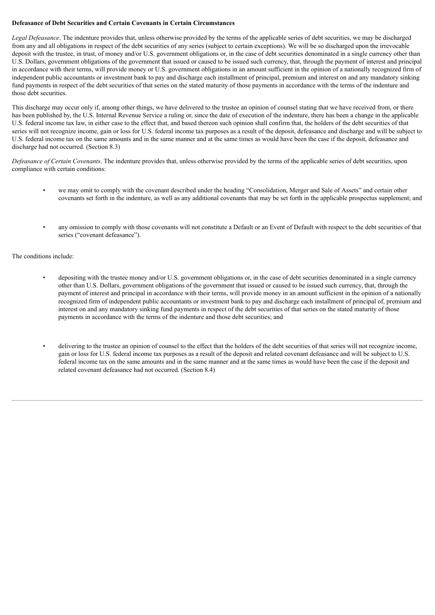## **Defeasance of Debt Securities and Certain Covenants in Certain Circumstances**

*Legal Defeasance*. The indenture provides that, unless otherwise provided by the terms of the applicable series of debt securities, we may be discharged from any and all obligations in respect of the debt securities of any series (subject to certain exceptions). We will be so discharged upon the irrevocable deposit with the trustee, in trust, of money and/or U.S. government obligations or, in the case of debt securities denominated in a single currency other than U.S. Dollars, government obligations of the government that issued or caused to be issued such currency, that, through the payment of interest and principal in accordance with their terms, will provide money or U.S. government obligations in an amount sufficient in the opinion of a nationally recognized firm of independent public accountants or investment bank to pay and discharge each installment of principal, premium and interest on and any mandatory sinking fund payments in respect of the debt securities of that series on the stated maturity of those payments in accordance with the terms of the indenture and those debt securities.

This discharge may occur only if, among other things, we have delivered to the trustee an opinion of counsel stating that we have received from, or there has been published by, the U.S. Internal Revenue Service a ruling or, since the date of execution of the indenture, there has been a change in the applicable U.S. federal income tax law, in either case to the effect that, and based thereon such opinion shall confirm that, the holders of the debt securities of that series will not recognize income, gain or loss for U.S. federal income tax purposes as a result of the deposit, defeasance and discharge and will be subject to U.S. federal income tax on the same amounts and in the same manner and at the same times as would have been the case if the deposit, defeasance and discharge had not occurred. (Section 8.3)

*Defeasance of Certain Covenants*. The indenture provides that, unless otherwise provided by the terms of the applicable series of debt securities, upon compliance with certain conditions:

- we may omit to comply with the covenant described under the heading "Consolidation, Merger and Sale of Assets" and certain other covenants set forth in the indenture, as well as any additional covenants that may be set forth in the applicable prospectus supplement; and
- any omission to comply with those covenants will not constitute a Default or an Event of Default with respect to the debt securities of that series ("covenant defeasance").

## The conditions include:

- depositing with the trustee money and/or U.S. government obligations or, in the case of debt securities denominated in a single currency other than U.S. Dollars, government obligations of the government that issued or caused to be issued such currency, that, through the payment of interest and principal in accordance with their terms, will provide money in an amount sufficient in the opinion of a nationally recognized firm of independent public accountants or investment bank to pay and discharge each installment of principal of, premium and interest on and any mandatory sinking fund payments in respect of the debt securities of that series on the stated maturity of those payments in accordance with the terms of the indenture and those debt securities; and
- delivering to the trustee an opinion of counsel to the effect that the holders of the debt securities of that series will not recognize income, gain or loss for U.S. federal income tax purposes as a result of the deposit and related covenant defeasance and will be subject to U.S. federal income tax on the same amounts and in the same manner and at the same times as would have been the case if the deposit and related covenant defeasance had not occurred. (Section 8.4)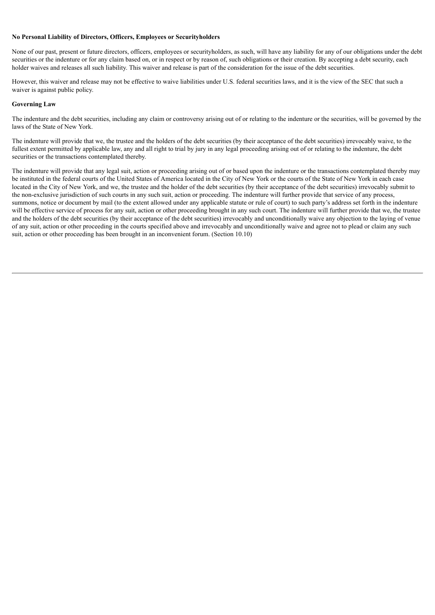## **No Personal Liability of Directors, Officers, Employees or Securityholders**

None of our past, present or future directors, officers, employees or securityholders, as such, will have any liability for any of our obligations under the debt securities or the indenture or for any claim based on, or in respect or by reason of, such obligations or their creation. By accepting a debt security, each holder waives and releases all such liability. This waiver and release is part of the consideration for the issue of the debt securities.

However, this waiver and release may not be effective to waive liabilities under U.S. federal securities laws, and it is the view of the SEC that such a waiver is against public policy.

## **Governing Law**

The indenture and the debt securities, including any claim or controversy arising out of or relating to the indenture or the securities, will be governed by the laws of the State of New York.

The indenture will provide that we, the trustee and the holders of the debt securities (by their acceptance of the debt securities) irrevocably waive, to the fullest extent permitted by applicable law, any and all right to trial by jury in any legal proceeding arising out of or relating to the indenture, the debt securities or the transactions contemplated thereby.

The indenture will provide that any legal suit, action or proceeding arising out of or based upon the indenture or the transactions contemplated thereby may be instituted in the federal courts of the United States of America located in the City of New York or the courts of the State of New York in each case located in the City of New York, and we, the trustee and the holder of the debt securities (by their acceptance of the debt securities) irrevocably submit to the non-exclusive jurisdiction of such courts in any such suit, action or proceeding. The indenture will further provide that service of any process, summons, notice or document by mail (to the extent allowed under any applicable statute or rule of court) to such party's address set forth in the indenture will be effective service of process for any suit, action or other proceeding brought in any such court. The indenture will further provide that we, the trustee and the holders of the debt securities (by their acceptance of the debt securities) irrevocably and unconditionally waive any objection to the laying of venue of any suit, action or other proceeding in the courts specified above and irrevocably and unconditionally waive and agree not to plead or claim any such suit, action or other proceeding has been brought in an inconvenient forum. (Section 10.10)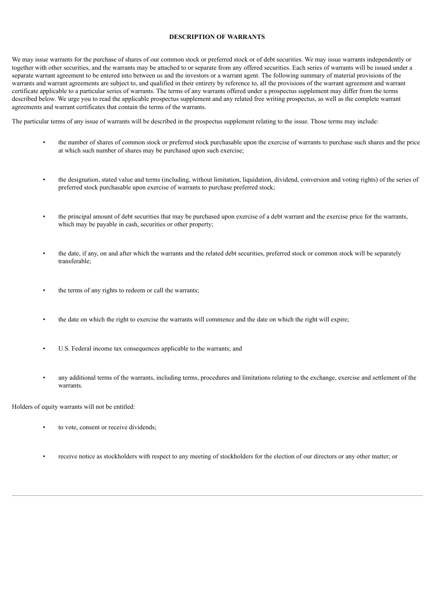## **DESCRIPTION OF WARRANTS**

<span id="page-54-0"></span>We may issue warrants for the purchase of shares of our common stock or preferred stock or of debt securities. We may issue warrants independently or together with other securities, and the warrants may be attached to or separate from any offered securities. Each series of warrants will be issued under a separate warrant agreement to be entered into between us and the investors or a warrant agent. The following summary of material provisions of the warrants and warrant agreements are subject to, and qualified in their entirety by reference to, all the provisions of the warrant agreement and warrant certificate applicable to a particular series of warrants. The terms of any warrants offered under a prospectus supplement may differ from the terms described below. We urge you to read the applicable prospectus supplement and any related free writing prospectus, as well as the complete warrant agreements and warrant certificates that contain the terms of the warrants.

The particular terms of any issue of warrants will be described in the prospectus supplement relating to the issue. Those terms may include:

- the number of shares of common stock or preferred stock purchasable upon the exercise of warrants to purchase such shares and the price at which such number of shares may be purchased upon such exercise;
- the designation, stated value and terms (including, without limitation, liquidation, dividend, conversion and voting rights) of the series of preferred stock purchasable upon exercise of warrants to purchase preferred stock;
- the principal amount of debt securities that may be purchased upon exercise of a debt warrant and the exercise price for the warrants, which may be payable in cash, securities or other property;
- the date, if any, on and after which the warrants and the related debt securities, preferred stock or common stock will be separately transferable;
- the terms of any rights to redeem or call the warrants;
- the date on which the right to exercise the warrants will commence and the date on which the right will expire;
- U.S. Federal income tax consequences applicable to the warrants; and
- any additional terms of the warrants, including terms, procedures and limitations relating to the exchange, exercise and settlement of the warrants.

Holders of equity warrants will not be entitled:

- to vote, consent or receive dividends;
- receive notice as stockholders with respect to any meeting of stockholders for the election of our directors or any other matter; or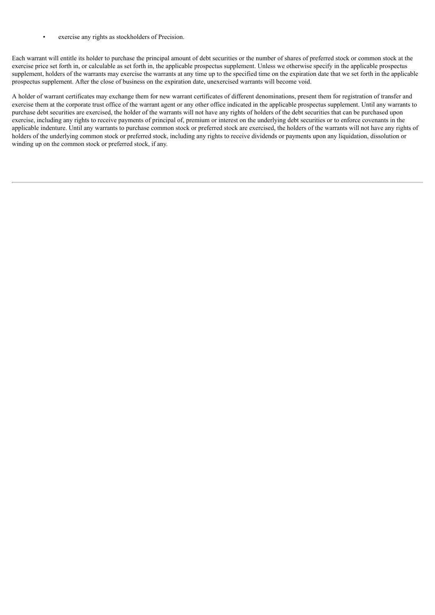exercise any rights as stockholders of Precision.

Each warrant will entitle its holder to purchase the principal amount of debt securities or the number of shares of preferred stock or common stock at the exercise price set forth in, or calculable as set forth in, the applicable prospectus supplement. Unless we otherwise specify in the applicable prospectus supplement, holders of the warrants may exercise the warrants at any time up to the specified time on the expiration date that we set forth in the applicable prospectus supplement. After the close of business on the expiration date, unexercised warrants will become void.

A holder of warrant certificates may exchange them for new warrant certificates of different denominations, present them for registration of transfer and exercise them at the corporate trust office of the warrant agent or any other office indicated in the applicable prospectus supplement. Until any warrants to purchase debt securities are exercised, the holder of the warrants will not have any rights of holders of the debt securities that can be purchased upon exercise, including any rights to receive payments of principal of, premium or interest on the underlying debt securities or to enforce covenants in the applicable indenture. Until any warrants to purchase common stock or preferred stock are exercised, the holders of the warrants will not have any rights of holders of the underlying common stock or preferred stock, including any rights to receive dividends or payments upon any liquidation, dissolution or winding up on the common stock or preferred stock, if any.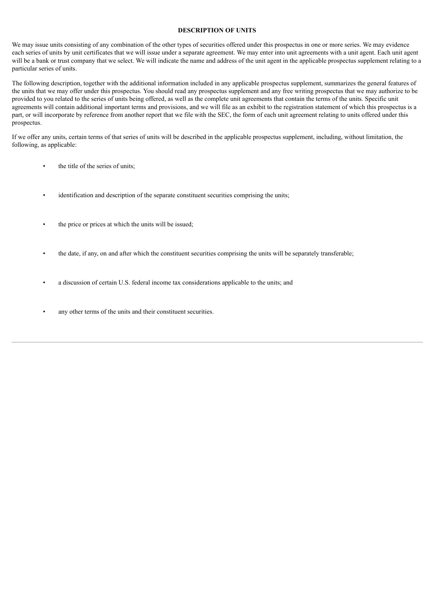#### **DESCRIPTION OF UNITS**

<span id="page-56-0"></span>We may issue units consisting of any combination of the other types of securities offered under this prospectus in one or more series. We may evidence each series of units by unit certificates that we will issue under a separate agreement. We may enter into unit agreements with a unit agent. Each unit agent will be a bank or trust company that we select. We will indicate the name and address of the unit agent in the applicable prospectus supplement relating to a particular series of units.

The following description, together with the additional information included in any applicable prospectus supplement, summarizes the general features of the units that we may offer under this prospectus. You should read any prospectus supplement and any free writing prospectus that we may authorize to be provided to you related to the series of units being offered, as well as the complete unit agreements that contain the terms of the units. Specific unit agreements will contain additional important terms and provisions, and we will file as an exhibit to the registration statement of which this prospectus is a part, or will incorporate by reference from another report that we file with the SEC, the form of each unit agreement relating to units offered under this prospectus.

If we offer any units, certain terms of that series of units will be described in the applicable prospectus supplement, including, without limitation, the following, as applicable:

- the title of the series of units:
- identification and description of the separate constituent securities comprising the units;
- the price or prices at which the units will be issued;
- the date, if any, on and after which the constituent securities comprising the units will be separately transferable;
- a discussion of certain U.S. federal income tax considerations applicable to the units; and
- any other terms of the units and their constituent securities.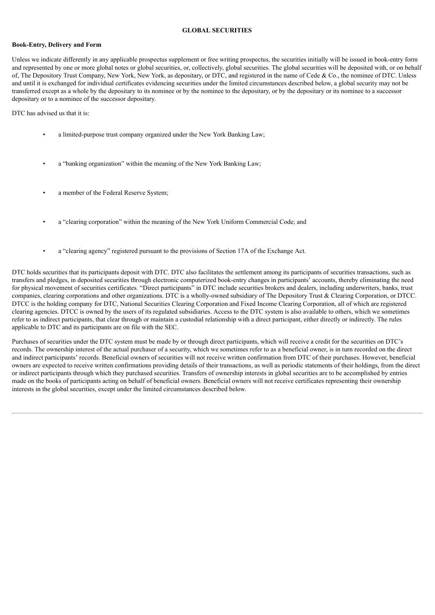## **GLOBAL SECURITIES**

#### <span id="page-57-0"></span>**Book-Entry, Delivery and Form**

Unless we indicate differently in any applicable prospectus supplement or free writing prospectus, the securities initially will be issued in book-entry form and represented by one or more global notes or global securities, or, collectively, global securities. The global securities will be deposited with, or on behalf of, The Depository Trust Company, New York, New York, as depositary, or DTC, and registered in the name of Cede & Co., the nominee of DTC. Unless and until it is exchanged for individual certificates evidencing securities under the limited circumstances described below, a global security may not be transferred except as a whole by the depositary to its nominee or by the nominee to the depositary, or by the depositary or its nominee to a successor depositary or to a nominee of the successor depositary.

DTC has advised us that it is:

- a limited-purpose trust company organized under the New York Banking Law;
- a "banking organization" within the meaning of the New York Banking Law;
- a member of the Federal Reserve System;
- a "clearing corporation" within the meaning of the New York Uniform Commercial Code; and
- a "clearing agency" registered pursuant to the provisions of Section 17A of the Exchange Act.

DTC holds securities that its participants deposit with DTC. DTC also facilitates the settlement among its participants of securities transactions, such as transfers and pledges, in deposited securities through electronic computerized book-entry changes in participants' accounts, thereby eliminating the need for physical movement of securities certificates. "Direct participants" in DTC include securities brokers and dealers, including underwriters, banks, trust companies, clearing corporations and other organizations. DTC is a wholly-owned subsidiary of The Depository Trust & Clearing Corporation, or DTCC. DTCC is the holding company for DTC, National Securities Clearing Corporation and Fixed Income Clearing Corporation, all of which are registered clearing agencies. DTCC is owned by the users of its regulated subsidiaries. Access to the DTC system is also available to others, which we sometimes refer to as indirect participants, that clear through or maintain a custodial relationship with a direct participant, either directly or indirectly. The rules applicable to DTC and its participants are on file with the SEC.

Purchases of securities under the DTC system must be made by or through direct participants, which will receive a credit for the securities on DTC's records. The ownership interest of the actual purchaser of a security, which we sometimes refer to as a beneficial owner, is in turn recorded on the direct and indirect participants' records. Beneficial owners of securities will not receive written confirmation from DTC of their purchases. However, beneficial owners are expected to receive written confirmations providing details of their transactions, as well as periodic statements of their holdings, from the direct or indirect participants through which they purchased securities. Transfers of ownership interests in global securities are to be accomplished by entries made on the books of participants acting on behalf of beneficial owners. Beneficial owners will not receive certificates representing their ownership interests in the global securities, except under the limited circumstances described below.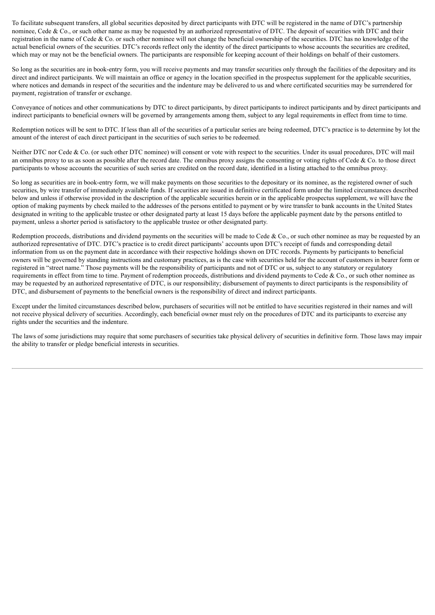To facilitate subsequent transfers, all global securities deposited by direct participants with DTC will be registered in the name of DTC's partnership nominee, Cede & Co., or such other name as may be requested by an authorized representative of DTC. The deposit of securities with DTC and their registration in the name of Cede & Co. or such other nominee will not change the beneficial ownership of the securities. DTC has no knowledge of the actual beneficial owners of the securities. DTC's records reflect only the identity of the direct participants to whose accounts the securities are credited, which may or may not be the beneficial owners. The participants are responsible for keeping account of their holdings on behalf of their customers.

So long as the securities are in book-entry form, you will receive payments and may transfer securities only through the facilities of the depositary and its direct and indirect participants. We will maintain an office or agency in the location specified in the prospectus supplement for the applicable securities. where notices and demands in respect of the securities and the indenture may be delivered to us and where certificated securities may be surrendered for payment, registration of transfer or exchange.

Conveyance of notices and other communications by DTC to direct participants, by direct participants to indirect participants and by direct participants and indirect participants to beneficial owners will be governed by arrangements among them, subject to any legal requirements in effect from time to time.

Redemption notices will be sent to DTC. If less than all of the securities of a particular series are being redeemed, DTC's practice is to determine by lot the amount of the interest of each direct participant in the securities of such series to be redeemed.

Neither DTC nor Cede & Co. (or such other DTC nominee) will consent or vote with respect to the securities. Under its usual procedures, DTC will mail an omnibus proxy to us as soon as possible after the record date. The omnibus proxy assigns the consenting or voting rights of Cede  $\&$  Co. to those direct participants to whose accounts the securities of such series are credited on the record date, identified in a listing attached to the omnibus proxy.

So long as securities are in book-entry form, we will make payments on those securities to the depositary or its nominee, as the registered owner of such securities, by wire transfer of immediately available funds. If securities are issued in definitive certificated form under the limited circumstances described below and unless if otherwise provided in the description of the applicable securities herein or in the applicable prospectus supplement, we will have the option of making payments by check mailed to the addresses of the persons entitled to payment or by wire transfer to bank accounts in the United States designated in writing to the applicable trustee or other designated party at least 15 days before the applicable payment date by the persons entitled to payment, unless a shorter period is satisfactory to the applicable trustee or other designated party.

Redemption proceeds, distributions and dividend payments on the securities will be made to Cede & Co., or such other nominee as may be requested by an authorized representative of DTC. DTC's practice is to credit direct participants' accounts upon DTC's receipt of funds and corresponding detail information from us on the payment date in accordance with their respective holdings shown on DTC records. Payments by participants to beneficial owners will be governed by standing instructions and customary practices, as is the case with securities held for the account of customers in bearer form or registered in "street name." Those payments will be the responsibility of participants and not of DTC or us, subject to any statutory or regulatory requirements in effect from time to time. Payment of redemption proceeds, distributions and dividend payments to Cede & Co., or such other nominee as may be requested by an authorized representative of DTC, is our responsibility; disbursement of payments to direct participants is the responsibility of DTC, and disbursement of payments to the beneficial owners is the responsibility of direct and indirect participants.

Except under the limited circumstances described below, purchasers of securities will not be entitled to have securities registered in their names and will not receive physical delivery of securities. Accordingly, each beneficial owner must rely on the procedures of DTC and its participants to exercise any rights under the securities and the indenture.

The laws of some jurisdictions may require that some purchasers of securities take physical delivery of securities in definitive form. Those laws may impair the ability to transfer or pledge beneficial interests in securities.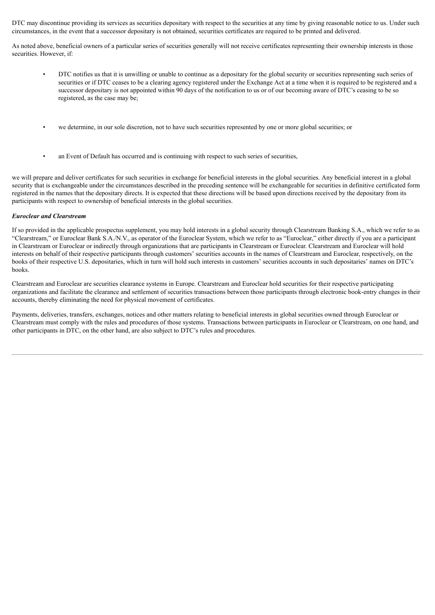DTC may discontinue providing its services as securities depositary with respect to the securities at any time by giving reasonable notice to us. Under such circumstances, in the event that a successor depositary is not obtained, securities certificates are required to be printed and delivered.

As noted above, beneficial owners of a particular series of securities generally will not receive certificates representing their ownership interests in those securities. However, if:

- DTC notifies us that it is unwilling or unable to continue as a depositary for the global security or securities representing such series of securities or if DTC ceases to be a clearing agency registered under the Exchange Act at a time when it is required to be registered and a successor depositary is not appointed within 90 days of the notification to us or of our becoming aware of DTC's ceasing to be so registered, as the case may be;
- we determine, in our sole discretion, not to have such securities represented by one or more global securities; or
- an Event of Default has occurred and is continuing with respect to such series of securities,

we will prepare and deliver certificates for such securities in exchange for beneficial interests in the global securities. Any beneficial interest in a global security that is exchangeable under the circumstances described in the preceding sentence will be exchangeable for securities in definitive certificated form registered in the names that the depositary directs. It is expected that these directions will be based upon directions received by the depositary from its participants with respect to ownership of beneficial interests in the global securities.

#### *Euroclear and Clearstream*

If so provided in the applicable prospectus supplement, you may hold interests in a global security through Clearstream Banking S.A., which we refer to as "Clearstream," or Euroclear Bank S.A./N.V., as operator of the Euroclear System, which we refer to as "Euroclear," either directly if you are a participant in Clearstream or Euroclear or indirectly through organizations that are participants in Clearstream or Euroclear. Clearstream and Euroclear will hold interests on behalf of their respective participants through customers' securities accounts in the names of Clearstream and Euroclear, respectively, on the books of their respective U.S. depositaries, which in turn will hold such interests in customers' securities accounts in such depositaries' names on DTC's books.

Clearstream and Euroclear are securities clearance systems in Europe. Clearstream and Euroclear hold securities for their respective participating organizations and facilitate the clearance and settlement of securities transactions between those participants through electronic book-entry changes in their accounts, thereby eliminating the need for physical movement of certificates.

Payments, deliveries, transfers, exchanges, notices and other matters relating to beneficial interests in global securities owned through Euroclear or Clearstream must comply with the rules and procedures of those systems. Transactions between participants in Euroclear or Clearstream, on one hand, and other participants in DTC, on the other hand, are also subject to DTC's rules and procedures.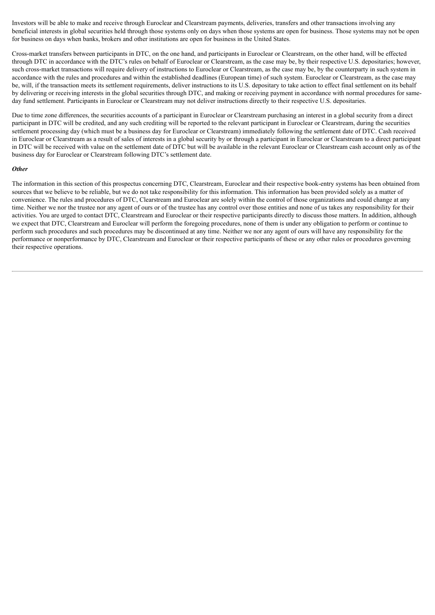Investors will be able to make and receive through Euroclear and Clearstream payments, deliveries, transfers and other transactions involving any beneficial interests in global securities held through those systems only on days when those systems are open for business. Those systems may not be open for business on days when banks, brokers and other institutions are open for business in the United States.

Cross-market transfers between participants in DTC, on the one hand, and participants in Euroclear or Clearstream, on the other hand, will be effected through DTC in accordance with the DTC's rules on behalf of Euroclear or Clearstream, as the case may be, by their respective U.S. depositaries; however, such cross-market transactions will require delivery of instructions to Euroclear or Clearstream, as the case may be, by the counterparty in such system in accordance with the rules and procedures and within the established deadlines (European time) of such system. Euroclear or Clearstream, as the case may be, will, if the transaction meets its settlement requirements, deliver instructions to its U.S. depositary to take action to effect final settlement on its behalf by delivering or receiving interests in the global securities through DTC, and making or receiving payment in accordance with normal procedures for sameday fund settlement. Participants in Euroclear or Clearstream may not deliver instructions directly to their respective U.S. depositaries.

Due to time zone differences, the securities accounts of a participant in Euroclear or Clearstream purchasing an interest in a global security from a direct participant in DTC will be credited, and any such crediting will be reported to the relevant participant in Euroclear or Clearstream, during the securities settlement processing day (which must be a business day for Euroclear or Clearstream) immediately following the settlement date of DTC. Cash received in Euroclear or Clearstream as a result of sales of interests in a global security by or through a participant in Euroclear or Clearstream to a direct participant in DTC will be received with value on the settlement date of DTC but will be available in the relevant Euroclear or Clearstream cash account only as of the business day for Euroclear or Clearstream following DTC's settlement date.

#### *Other*

The information in this section of this prospectus concerning DTC, Clearstream, Euroclear and their respective book-entry systems has been obtained from sources that we believe to be reliable, but we do not take responsibility for this information. This information has been provided solely as a matter of convenience. The rules and procedures of DTC, Clearstream and Euroclear are solely within the control of those organizations and could change at any time. Neither we nor the trustee nor any agent of ours or of the trustee has any control over those entities and none of us takes any responsibility for their activities. You are urged to contact DTC, Clearstream and Euroclear or their respective participants directly to discuss those matters. In addition, although we expect that DTC, Clearstream and Euroclear will perform the foregoing procedures, none of them is under any obligation to perform or continue to perform such procedures and such procedures may be discontinued at any time. Neither we nor any agent of ours will have any responsibility for the performance or nonperformance by DTC, Clearstream and Euroclear or their respective participants of these or any other rules or procedures governing their respective operations.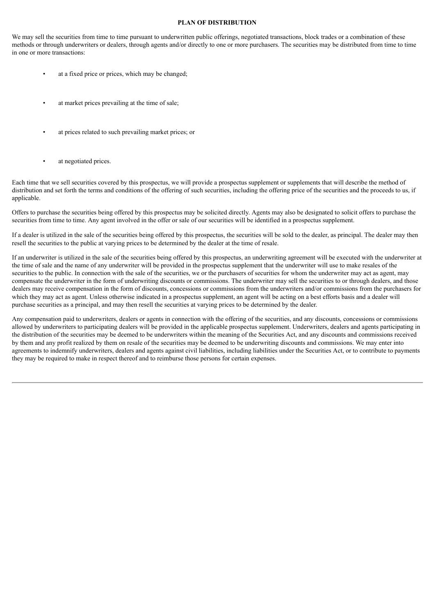## **PLAN OF DISTRIBUTION**

<span id="page-61-0"></span>We may sell the securities from time to time pursuant to underwritten public offerings, negotiated transactions, block trades or a combination of these methods or through underwriters or dealers, through agents and/or directly to one or more purchasers. The securities may be distributed from time to time in one or more transactions:

- at a fixed price or prices, which may be changed;
- at market prices prevailing at the time of sale;
- at prices related to such prevailing market prices; or
- at negotiated prices.

Each time that we sell securities covered by this prospectus, we will provide a prospectus supplement or supplements that will describe the method of distribution and set forth the terms and conditions of the offering of such securities, including the offering price of the securities and the proceeds to us, if applicable.

Offers to purchase the securities being offered by this prospectus may be solicited directly. Agents may also be designated to solicit offers to purchase the securities from time to time. Any agent involved in the offer or sale of our securities will be identified in a prospectus supplement.

If a dealer is utilized in the sale of the securities being offered by this prospectus, the securities will be sold to the dealer, as principal. The dealer may then resell the securities to the public at varying prices to be determined by the dealer at the time of resale.

If an underwriter is utilized in the sale of the securities being offered by this prospectus, an underwriting agreement will be executed with the underwriter at the time of sale and the name of any underwriter will be provided in the prospectus supplement that the underwriter will use to make resales of the securities to the public. In connection with the sale of the securities, we or the purchasers of securities for whom the underwriter may act as agent, may compensate the underwriter in the form of underwriting discounts or commissions. The underwriter may sell the securities to or through dealers, and those dealers may receive compensation in the form of discounts, concessions or commissions from the underwriters and/or commissions from the purchasers for which they may act as agent. Unless otherwise indicated in a prospectus supplement, an agent will be acting on a best efforts basis and a dealer will purchase securities as a principal, and may then resell the securities at varying prices to be determined by the dealer.

Any compensation paid to underwriters, dealers or agents in connection with the offering of the securities, and any discounts, concessions or commissions allowed by underwriters to participating dealers will be provided in the applicable prospectus supplement. Underwriters, dealers and agents participating in the distribution of the securities may be deemed to be underwriters within the meaning of the Securities Act, and any discounts and commissions received by them and any profit realized by them on resale of the securities may be deemed to be underwriting discounts and commissions. We may enter into agreements to indemnify underwriters, dealers and agents against civil liabilities, including liabilities under the Securities Act, or to contribute to payments they may be required to make in respect thereof and to reimburse those persons for certain expenses.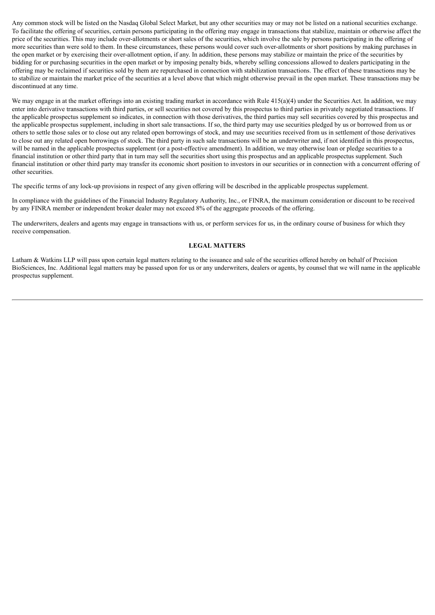Any common stock will be listed on the Nasdaq Global Select Market, but any other securities may or may not be listed on a national securities exchange. To facilitate the offering of securities, certain persons participating in the offering may engage in transactions that stabilize, maintain or otherwise affect the price of the securities. This may include over-allotments or short sales of the securities, which involve the sale by persons participating in the offering of more securities than were sold to them. In these circumstances, these persons would cover such over-allotments or short positions by making purchases in the open market or by exercising their over-allotment option, if any. In addition, these persons may stabilize or maintain the price of the securities by bidding for or purchasing securities in the open market or by imposing penalty bids, whereby selling concessions allowed to dealers participating in the offering may be reclaimed if securities sold by them are repurchased in connection with stabilization transactions. The effect of these transactions may be to stabilize or maintain the market price of the securities at a level above that which might otherwise prevail in the open market. These transactions may be discontinued at any time.

We may engage in at the market offerings into an existing trading market in accordance with Rule  $415(a)(4)$  under the Securities Act. In addition, we may enter into derivative transactions with third parties, or sell securities not covered by this prospectus to third parties in privately negotiated transactions. If the applicable prospectus supplement so indicates, in connection with those derivatives, the third parties may sell securities covered by this prospectus and the applicable prospectus supplement, including in short sale transactions. If so, the third party may use securities pledged by us or borrowed from us or others to settle those sales or to close out any related open borrowings of stock, and may use securities received from us in settlement of those derivatives to close out any related open borrowings of stock. The third party in such sale transactions will be an underwriter and, if not identified in this prospectus, will be named in the applicable prospectus supplement (or a post-effective amendment). In addition, we may otherwise loan or pledge securities to a financial institution or other third party that in turn may sell the securities short using this prospectus and an applicable prospectus supplement. Such financial institution or other third party may transfer its economic short position to investors in our securities or in connection with a concurrent offering of other securities.

The specific terms of any lock-up provisions in respect of any given offering will be described in the applicable prospectus supplement.

In compliance with the guidelines of the Financial Industry Regulatory Authority, Inc., or FINRA, the maximum consideration or discount to be received by any FINRA member or independent broker dealer may not exceed 8% of the aggregate proceeds of the offering.

The underwriters, dealers and agents may engage in transactions with us, or perform services for us, in the ordinary course of business for which they receive compensation.

#### **LEGAL MATTERS**

<span id="page-62-0"></span>Latham & Watkins LLP will pass upon certain legal matters relating to the issuance and sale of the securities offered hereby on behalf of Precision BioSciences, Inc. Additional legal matters may be passed upon for us or any underwriters, dealers or agents, by counsel that we will name in the applicable prospectus supplement.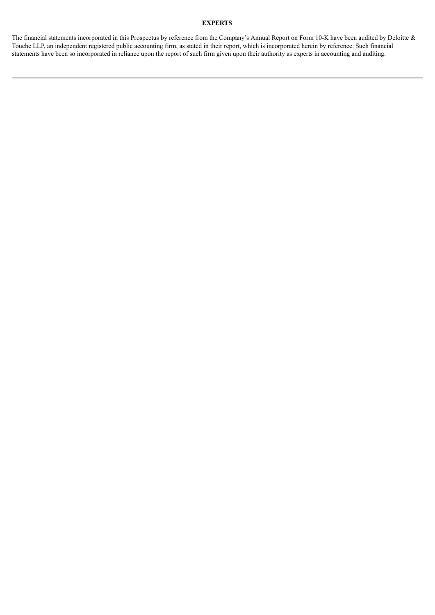## **EXPERTS**

<span id="page-63-0"></span>The financial statements incorporated in this Prospectus by reference from the Company's Annual Report on Form 10-K have been audited by Deloitte & Touche LLP, an independent registered public accounting firm, as stated in their report, which is incorporated herein by reference. Such financial statements have been so incorporated in reliance upon the report of such firm given upon their authority as experts in accounting and auditing.